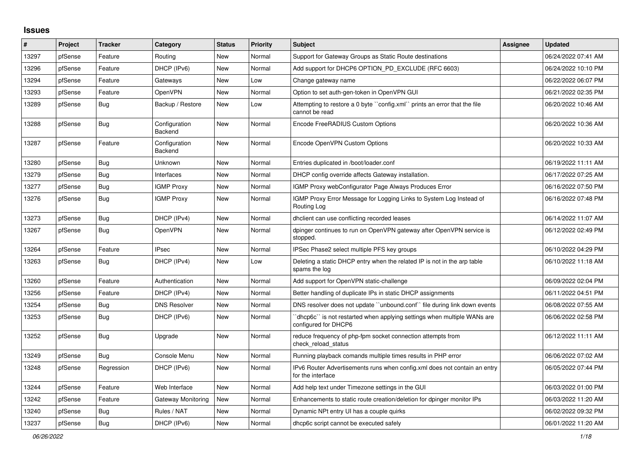## **Issues**

| #     | Project | <b>Tracker</b> | Category                        | <b>Status</b> | <b>Priority</b> | <b>Subject</b>                                                                                 | <b>Assignee</b> | <b>Updated</b>      |
|-------|---------|----------------|---------------------------------|---------------|-----------------|------------------------------------------------------------------------------------------------|-----------------|---------------------|
| 13297 | pfSense | Feature        | Routing                         | New           | Normal          | Support for Gateway Groups as Static Route destinations                                        |                 | 06/24/2022 07:41 AM |
| 13296 | pfSense | Feature        | DHCP (IPv6)                     | <b>New</b>    | Normal          | Add support for DHCP6 OPTION PD EXCLUDE (RFC 6603)                                             |                 | 06/24/2022 10:10 PM |
| 13294 | pfSense | Feature        | Gateways                        | <b>New</b>    | Low             | Change gateway name                                                                            |                 | 06/22/2022 06:07 PM |
| 13293 | pfSense | Feature        | OpenVPN                         | New           | Normal          | Option to set auth-gen-token in OpenVPN GUI                                                    |                 | 06/21/2022 02:35 PM |
| 13289 | pfSense | <b>Bug</b>     | Backup / Restore                | New           | Low             | Attempting to restore a 0 byte "config.xml" prints an error that the file<br>cannot be read    |                 | 06/20/2022 10:46 AM |
| 13288 | pfSense | Bug            | Configuration<br><b>Backend</b> | <b>New</b>    | Normal          | Encode FreeRADIUS Custom Options                                                               |                 | 06/20/2022 10:36 AM |
| 13287 | pfSense | Feature        | Configuration<br><b>Backend</b> | New           | Normal          | Encode OpenVPN Custom Options                                                                  |                 | 06/20/2022 10:33 AM |
| 13280 | pfSense | Bug            | Unknown                         | New           | Normal          | Entries duplicated in /boot/loader.conf                                                        |                 | 06/19/2022 11:11 AM |
| 13279 | pfSense | Bug            | Interfaces                      | New           | Normal          | DHCP config override affects Gateway installation.                                             |                 | 06/17/2022 07:25 AM |
| 13277 | pfSense | <b>Bug</b>     | <b>IGMP Proxy</b>               | New           | Normal          | IGMP Proxy webConfigurator Page Always Produces Error                                          |                 | 06/16/2022 07:50 PM |
| 13276 | pfSense | Bug            | <b>IGMP Proxy</b>               | New           | Normal          | IGMP Proxy Error Message for Logging Links to System Log Instead of<br>Routing Log             |                 | 06/16/2022 07:48 PM |
| 13273 | pfSense | Bug            | DHCP (IPv4)                     | New           | Normal          | dhclient can use conflicting recorded leases                                                   |                 | 06/14/2022 11:07 AM |
| 13267 | pfSense | <b>Bug</b>     | OpenVPN                         | <b>New</b>    | Normal          | dpinger continues to run on OpenVPN gateway after OpenVPN service is<br>stopped.               |                 | 06/12/2022 02:49 PM |
| 13264 | pfSense | Feature        | <b>IPsec</b>                    | <b>New</b>    | Normal          | IPSec Phase2 select multiple PFS key groups                                                    |                 | 06/10/2022 04:29 PM |
| 13263 | pfSense | <b>Bug</b>     | DHCP (IPv4)                     | New           | Low             | Deleting a static DHCP entry when the related IP is not in the arp table<br>spams the log      |                 | 06/10/2022 11:18 AM |
| 13260 | pfSense | Feature        | Authentication                  | <b>New</b>    | Normal          | Add support for OpenVPN static-challenge                                                       |                 | 06/09/2022 02:04 PM |
| 13256 | pfSense | Feature        | DHCP (IPv4)                     | <b>New</b>    | Normal          | Better handling of duplicate IPs in static DHCP assignments                                    |                 | 06/11/2022 04:51 PM |
| 13254 | pfSense | Bug            | <b>DNS Resolver</b>             | New           | Normal          | DNS resolver does not update "unbound.conf" file during link down events                       |                 | 06/08/2022 07:55 AM |
| 13253 | pfSense | Bug            | DHCP (IPv6)                     | New           | Normal          | dhcp6c" is not restarted when applying settings when multiple WANs are<br>configured for DHCP6 |                 | 06/06/2022 02:58 PM |
| 13252 | pfSense | <b>Bug</b>     | Upgrade                         | <b>New</b>    | Normal          | reduce frequency of php-fpm socket connection attempts from<br>check reload status             |                 | 06/12/2022 11:11 AM |
| 13249 | pfSense | Bug            | Console Menu                    | New           | Normal          | Running playback comands multiple times results in PHP error                                   |                 | 06/06/2022 07:02 AM |
| 13248 | pfSense | Regression     | DHCP (IPv6)                     | <b>New</b>    | Normal          | IPv6 Router Advertisements runs when config.xml does not contain an entry<br>for the interface |                 | 06/05/2022 07:44 PM |
| 13244 | pfSense | Feature        | Web Interface                   | <b>New</b>    | Normal          | Add help text under Timezone settings in the GUI                                               |                 | 06/03/2022 01:00 PM |
| 13242 | pfSense | Feature        | Gateway Monitoring              | New           | Normal          | Enhancements to static route creation/deletion for dpinger monitor IPs                         |                 | 06/03/2022 11:20 AM |
| 13240 | pfSense | <b>Bug</b>     | Rules / NAT                     | New           | Normal          | Dynamic NPt entry UI has a couple quirks                                                       |                 | 06/02/2022 09:32 PM |
| 13237 | pfSense | <b>Bug</b>     | DHCP (IPv6)                     | <b>New</b>    | Normal          | dhcp6c script cannot be executed safely                                                        |                 | 06/01/2022 11:20 AM |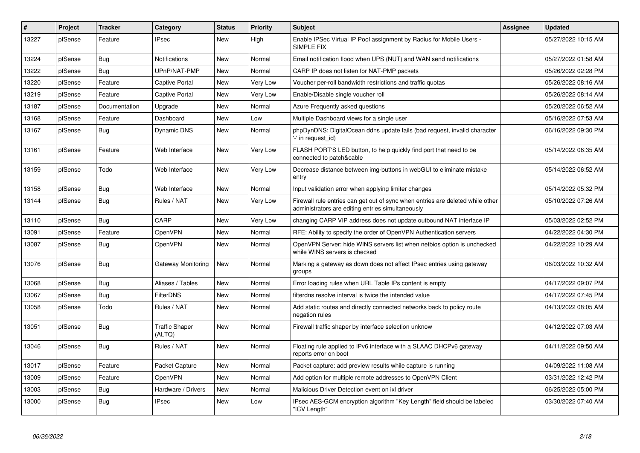| #     | Project | <b>Tracker</b> | Category                        | <b>Status</b> | <b>Priority</b> | <b>Subject</b>                                                                                                                      | <b>Assignee</b> | <b>Updated</b>      |
|-------|---------|----------------|---------------------------------|---------------|-----------------|-------------------------------------------------------------------------------------------------------------------------------------|-----------------|---------------------|
| 13227 | pfSense | Feature        | <b>IPsec</b>                    | New           | High            | Enable IPSec Virtual IP Pool assignment by Radius for Mobile Users -<br>SIMPLE FIX                                                  |                 | 05/27/2022 10:15 AM |
| 13224 | pfSense | Bug            | Notifications                   | New           | Normal          | Email notification flood when UPS (NUT) and WAN send notifications                                                                  |                 | 05/27/2022 01:58 AM |
| 13222 | pfSense | <b>Bug</b>     | UPnP/NAT-PMP                    | <b>New</b>    | Normal          | CARP IP does not listen for NAT-PMP packets                                                                                         |                 | 05/26/2022 02:28 PM |
| 13220 | pfSense | Feature        | <b>Captive Portal</b>           | <b>New</b>    | Very Low        | Voucher per-roll bandwidth restrictions and traffic quotas                                                                          |                 | 05/26/2022 08:16 AM |
| 13219 | pfSense | Feature        | Captive Portal                  | <b>New</b>    | Very Low        | Enable/Disable single voucher roll                                                                                                  |                 | 05/26/2022 08:14 AM |
| 13187 | pfSense | Documentation  | Upgrade                         | <b>New</b>    | Normal          | Azure Frequently asked questions                                                                                                    |                 | 05/20/2022 06:52 AM |
| 13168 | pfSense | Feature        | Dashboard                       | <b>New</b>    | Low             | Multiple Dashboard views for a single user                                                                                          |                 | 05/16/2022 07:53 AM |
| 13167 | pfSense | Bug            | <b>Dynamic DNS</b>              | New           | Normal          | phpDynDNS: DigitalOcean ddns update fails (bad request, invalid character<br>'-' in request id)                                     |                 | 06/16/2022 09:30 PM |
| 13161 | pfSense | Feature        | Web Interface                   | <b>New</b>    | Very Low        | FLASH PORT'S LED button, to help quickly find port that need to be<br>connected to patch&cable                                      |                 | 05/14/2022 06:35 AM |
| 13159 | pfSense | Todo           | Web Interface                   | <b>New</b>    | Very Low        | Decrease distance between img-buttons in webGUI to eliminate mistake<br>entry                                                       |                 | 05/14/2022 06:52 AM |
| 13158 | pfSense | <b>Bug</b>     | Web Interface                   | <b>New</b>    | Normal          | Input validation error when applying limiter changes                                                                                |                 | 05/14/2022 05:32 PM |
| 13144 | pfSense | Bug            | Rules / NAT                     | New           | Very Low        | Firewall rule entries can get out of sync when entries are deleted while other<br>administrators are editing entries simultaneously |                 | 05/10/2022 07:26 AM |
| 13110 | pfSense | Bug            | CARP                            | New           | <b>Very Low</b> | changing CARP VIP address does not update outbound NAT interface IP                                                                 |                 | 05/03/2022 02:52 PM |
| 13091 | pfSense | Feature        | OpenVPN                         | New           | Normal          | RFE: Ability to specify the order of OpenVPN Authentication servers                                                                 |                 | 04/22/2022 04:30 PM |
| 13087 | pfSense | <b>Bug</b>     | OpenVPN                         | New           | Normal          | OpenVPN Server: hide WINS servers list when netbios option is unchecked<br>while WINS servers is checked                            |                 | 04/22/2022 10:29 AM |
| 13076 | pfSense | <b>Bug</b>     | Gateway Monitoring              | New           | Normal          | Marking a gateway as down does not affect IPsec entries using gateway<br>groups                                                     |                 | 06/03/2022 10:32 AM |
| 13068 | pfSense | <b>Bug</b>     | Aliases / Tables                | <b>New</b>    | Normal          | Error loading rules when URL Table IPs content is empty                                                                             |                 | 04/17/2022 09:07 PM |
| 13067 | pfSense | Bug            | <b>FilterDNS</b>                | <b>New</b>    | Normal          | filterdns resolve interval is twice the intended value                                                                              |                 | 04/17/2022 07:45 PM |
| 13058 | pfSense | Todo           | Rules / NAT                     | New           | Normal          | Add static routes and directly connected networks back to policy route<br>negation rules                                            |                 | 04/13/2022 08:05 AM |
| 13051 | pfSense | Bug            | <b>Traffic Shaper</b><br>(ALTQ) | <b>New</b>    | Normal          | Firewall traffic shaper by interface selection unknow                                                                               |                 | 04/12/2022 07:03 AM |
| 13046 | pfSense | Bug            | Rules / NAT                     | <b>New</b>    | Normal          | Floating rule applied to IPv6 interface with a SLAAC DHCPv6 gateway<br>reports error on boot                                        |                 | 04/11/2022 09:50 AM |
| 13017 | pfSense | Feature        | Packet Capture                  | <b>New</b>    | Normal          | Packet capture: add preview results while capture is running                                                                        |                 | 04/09/2022 11:08 AM |
| 13009 | pfSense | Feature        | OpenVPN                         | <b>New</b>    | Normal          | Add option for multiple remote addresses to OpenVPN Client                                                                          |                 | 03/31/2022 12:42 PM |
| 13003 | pfSense | <b>Bug</b>     | Hardware / Drivers              | <b>New</b>    | Normal          | Malicious Driver Detection event on ixl driver                                                                                      |                 | 06/25/2022 05:00 PM |
| 13000 | pfSense | Bug            | <b>IPsec</b>                    | <b>New</b>    | Low             | IPsec AES-GCM encryption algorithm "Key Length" field should be labeled<br>"ICV Length"                                             |                 | 03/30/2022 07:40 AM |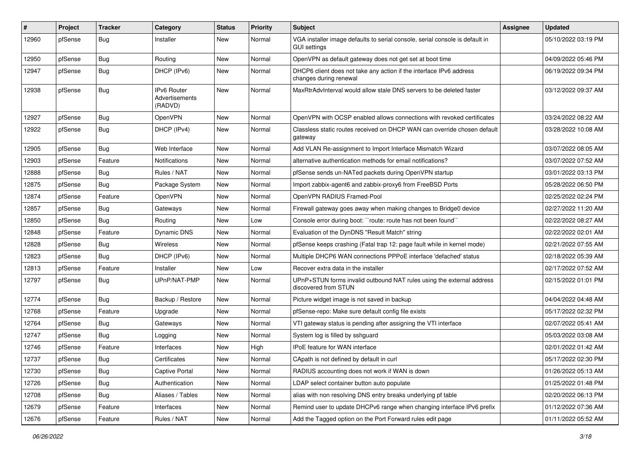| #     | Project | <b>Tracker</b> | Category                                        | <b>Status</b> | <b>Priority</b> | <b>Subject</b>                                                                                      | Assignee | <b>Updated</b>      |
|-------|---------|----------------|-------------------------------------------------|---------------|-----------------|-----------------------------------------------------------------------------------------------------|----------|---------------------|
| 12960 | pfSense | <b>Bug</b>     | Installer                                       | New           | Normal          | VGA installer image defaults to serial console, serial console is default in<br><b>GUI settings</b> |          | 05/10/2022 03:19 PM |
| 12950 | pfSense | Bug            | Routing                                         | New           | Normal          | OpenVPN as default gateway does not get set at boot time                                            |          | 04/09/2022 05:46 PM |
| 12947 | pfSense | <b>Bug</b>     | DHCP (IPv6)                                     | New           | Normal          | DHCP6 client does not take any action if the interface IPv6 address<br>changes during renewal       |          | 06/19/2022 09:34 PM |
| 12938 | pfSense | Bug            | <b>IPv6 Router</b><br>Advertisements<br>(RADVD) | <b>New</b>    | Normal          | MaxRtrAdvInterval would allow stale DNS servers to be deleted faster                                |          | 03/12/2022 09:37 AM |
| 12927 | pfSense | Bug            | OpenVPN                                         | New           | Normal          | OpenVPN with OCSP enabled allows connections with revoked certificates                              |          | 03/24/2022 08:22 AM |
| 12922 | pfSense | Bug            | DHCP (IPv4)                                     | New           | Normal          | Classless static routes received on DHCP WAN can override chosen default<br>gateway                 |          | 03/28/2022 10:08 AM |
| 12905 | pfSense | Bug            | Web Interface                                   | New           | Normal          | Add VLAN Re-assignment to Import Interface Mismatch Wizard                                          |          | 03/07/2022 08:05 AM |
| 12903 | pfSense | Feature        | Notifications                                   | <b>New</b>    | Normal          | alternative authentication methods for email notifications?                                         |          | 03/07/2022 07:52 AM |
| 12888 | pfSense | Bug            | Rules / NAT                                     | New           | Normal          | pfSense sends un-NATed packets during OpenVPN startup                                               |          | 03/01/2022 03:13 PM |
| 12875 | pfSense | Bug            | Package System                                  | New           | Normal          | Import zabbix-agent6 and zabbix-proxy6 from FreeBSD Ports                                           |          | 05/28/2022 06:50 PM |
| 12874 | pfSense | Feature        | OpenVPN                                         | New           | Normal          | OpenVPN RADIUS Framed-Pool                                                                          |          | 02/25/2022 02:24 PM |
| 12857 | pfSense | <b>Bug</b>     | Gateways                                        | New           | Normal          | Firewall gateway goes away when making changes to Bridge0 device                                    |          | 02/27/2022 11:20 AM |
| 12850 | pfSense | Bug            | Routing                                         | New           | Low             | Console error during boot: "route: route has not been found"                                        |          | 02/22/2022 08:27 AM |
| 12848 | pfSense | Feature        | Dynamic DNS                                     | New           | Normal          | Evaluation of the DynDNS "Result Match" string                                                      |          | 02/22/2022 02:01 AM |
| 12828 | pfSense | Bug            | Wireless                                        | New           | Normal          | pfSense keeps crashing (Fatal trap 12: page fault while in kernel mode)                             |          | 02/21/2022 07:55 AM |
| 12823 | pfSense | <b>Bug</b>     | DHCP (IPv6)                                     | <b>New</b>    | Normal          | Multiple DHCP6 WAN connections PPPoE interface 'defached' status                                    |          | 02/18/2022 05:39 AM |
| 12813 | pfSense | Feature        | Installer                                       | New           | Low             | Recover extra data in the installer                                                                 |          | 02/17/2022 07:52 AM |
| 12797 | pfSense | Bug            | UPnP/NAT-PMP                                    | New           | Normal          | UPnP+STUN forms invalid outbound NAT rules using the external address<br>discovered from STUN       |          | 02/15/2022 01:01 PM |
| 12774 | pfSense | Bug            | Backup / Restore                                | New           | Normal          | Picture widget image is not saved in backup                                                         |          | 04/04/2022 04:48 AM |
| 12768 | pfSense | Feature        | Upgrade                                         | <b>New</b>    | Normal          | pfSense-repo: Make sure default config file exists                                                  |          | 05/17/2022 02:32 PM |
| 12764 | pfSense | Bug            | Gateways                                        | New           | Normal          | VTI gateway status is pending after assigning the VTI interface                                     |          | 02/07/2022 05:41 AM |
| 12747 | pfSense | Bug            | Logging                                         | New           | Normal          | System log is filled by sshguard                                                                    |          | 05/03/2022 03:08 AM |
| 12746 | pfSense | Feature        | Interfaces                                      | New           | High            | IPoE feature for WAN interface                                                                      |          | 02/01/2022 01:42 AM |
| 12737 | pfSense | <b>Bug</b>     | Certificates                                    | New           | Normal          | CApath is not defined by default in curl                                                            |          | 05/17/2022 02:30 PM |
| 12730 | pfSense | Bug            | Captive Portal                                  | New           | Normal          | RADIUS accounting does not work if WAN is down                                                      |          | 01/26/2022 05:13 AM |
| 12726 | pfSense | Bug            | Authentication                                  | New           | Normal          | LDAP select container button auto populate                                                          |          | 01/25/2022 01:48 PM |
| 12708 | pfSense | <b>Bug</b>     | Aliases / Tables                                | New           | Normal          | alias with non resolving DNS entry breaks underlying pf table                                       |          | 02/20/2022 06:13 PM |
| 12679 | pfSense | Feature        | Interfaces                                      | New           | Normal          | Remind user to update DHCPv6 range when changing interface IPv6 prefix                              |          | 01/12/2022 07:36 AM |
| 12676 | pfSense | Feature        | Rules / NAT                                     | New           | Normal          | Add the Tagged option on the Port Forward rules edit page                                           |          | 01/11/2022 05:52 AM |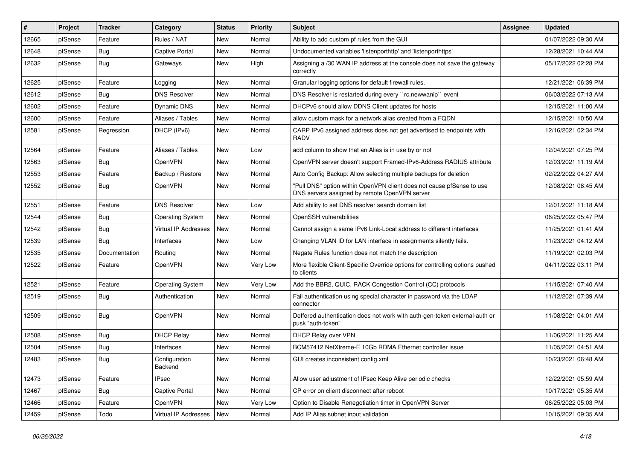| #     | Project | <b>Tracker</b> | Category                 | <b>Status</b> | <b>Priority</b> | Subject                                                                                                                | <b>Assignee</b> | <b>Updated</b>      |
|-------|---------|----------------|--------------------------|---------------|-----------------|------------------------------------------------------------------------------------------------------------------------|-----------------|---------------------|
| 12665 | pfSense | Feature        | Rules / NAT              | New           | Normal          | Ability to add custom pf rules from the GUI                                                                            |                 | 01/07/2022 09:30 AM |
| 12648 | pfSense | <b>Bug</b>     | Captive Portal           | New           | Normal          | Undocumented variables 'listenporthttp' and 'listenporthttps'                                                          |                 | 12/28/2021 10:44 AM |
| 12632 | pfSense | Bug            | Gateways                 | New           | High            | Assigning a /30 WAN IP address at the console does not save the gateway<br>correctly                                   |                 | 05/17/2022 02:28 PM |
| 12625 | pfSense | Feature        | Logging                  | <b>New</b>    | Normal          | Granular logging options for default firewall rules.                                                                   |                 | 12/21/2021 06:39 PM |
| 12612 | pfSense | Bug            | <b>DNS Resolver</b>      | New           | Normal          | DNS Resolver is restarted during every "rc.newwanip" event                                                             |                 | 06/03/2022 07:13 AM |
| 12602 | pfSense | Feature        | Dynamic DNS              | New           | Normal          | DHCPv6 should allow DDNS Client updates for hosts                                                                      |                 | 12/15/2021 11:00 AM |
| 12600 | pfSense | Feature        | Aliases / Tables         | <b>New</b>    | Normal          | allow custom mask for a network alias created from a FQDN                                                              |                 | 12/15/2021 10:50 AM |
| 12581 | pfSense | Regression     | DHCP (IPv6)              | New           | Normal          | CARP IPv6 assigned address does not get advertised to endpoints with<br><b>RADV</b>                                    |                 | 12/16/2021 02:34 PM |
| 12564 | pfSense | Feature        | Aliases / Tables         | New           | Low             | add column to show that an Alias is in use by or not                                                                   |                 | 12/04/2021 07:25 PM |
| 12563 | pfSense | <b>Bug</b>     | OpenVPN                  | New           | Normal          | OpenVPN server doesn't support Framed-IPv6-Address RADIUS attribute                                                    |                 | 12/03/2021 11:19 AM |
| 12553 | pfSense | Feature        | Backup / Restore         | New           | Normal          | Auto Config Backup: Allow selecting multiple backups for deletion                                                      |                 | 02/22/2022 04:27 AM |
| 12552 | pfSense | Bug            | OpenVPN                  | New           | Normal          | "Pull DNS" option within OpenVPN client does not cause pfSense to use<br>DNS servers assigned by remote OpenVPN server |                 | 12/08/2021 08:45 AM |
| 12551 | pfSense | Feature        | <b>DNS Resolver</b>      | <b>New</b>    | Low             | Add ability to set DNS resolver search domain list                                                                     |                 | 12/01/2021 11:18 AM |
| 12544 | pfSense | <b>Bug</b>     | <b>Operating System</b>  | New           | Normal          | OpenSSH vulnerabilities                                                                                                |                 | 06/25/2022 05:47 PM |
| 12542 | pfSense | <b>Bug</b>     | Virtual IP Addresses     | New           | Normal          | Cannot assign a same IPv6 Link-Local address to different interfaces                                                   |                 | 11/25/2021 01:41 AM |
| 12539 | pfSense | <b>Bug</b>     | Interfaces               | New           | Low             | Changing VLAN ID for LAN interface in assignments silently fails.                                                      |                 | 11/23/2021 04:12 AM |
| 12535 | pfSense | Documentation  | Routing                  | New           | Normal          | Negate Rules function does not match the description                                                                   |                 | 11/19/2021 02:03 PM |
| 12522 | pfSense | Feature        | OpenVPN                  | New           | <b>Very Low</b> | More flexible Client-Specific Override options for controlling options pushed<br>to clients                            |                 | 04/11/2022 03:11 PM |
| 12521 | pfSense | Feature        | <b>Operating System</b>  | <b>New</b>    | <b>Very Low</b> | Add the BBR2, QUIC, RACK Congestion Control (CC) protocols                                                             |                 | 11/15/2021 07:40 AM |
| 12519 | pfSense | <b>Bug</b>     | Authentication           | New           | Normal          | Fail authentication using special character in password via the LDAP<br>connector                                      |                 | 11/12/2021 07:39 AM |
| 12509 | pfSense | Bug            | OpenVPN                  | New           | Normal          | Deffered authentication does not work with auth-gen-token external-auth or<br>pusk "auth-token"                        |                 | 11/08/2021 04:01 AM |
| 12508 | pfSense | Bug            | <b>DHCP Relay</b>        | New           | Normal          | DHCP Relay over VPN                                                                                                    |                 | 11/06/2021 11:25 AM |
| 12504 | pfSense | <b>Bug</b>     | Interfaces               | New           | Normal          | BCM57412 NetXtreme-E 10Gb RDMA Ethernet controller issue                                                               |                 | 11/05/2021 04:51 AM |
| 12483 | pfSense | Bug            | Configuration<br>Backend | New           | Normal          | GUI creates inconsistent config.xml                                                                                    |                 | 10/23/2021 06:48 AM |
| 12473 | pfSense | Feature        | <b>IPsec</b>             | New           | Normal          | Allow user adjustment of IPsec Keep Alive periodic checks                                                              |                 | 12/22/2021 05:59 AM |
| 12467 | pfSense | <b>Bug</b>     | Captive Portal           | New           | Normal          | CP error on client disconnect after reboot                                                                             |                 | 10/17/2021 05:35 AM |
| 12466 | pfSense | Feature        | OpenVPN                  | New           | Very Low        | Option to Disable Renegotiation timer in OpenVPN Server                                                                |                 | 06/25/2022 05:03 PM |
| 12459 | pfSense | Todo           | Virtual IP Addresses     | New           | Normal          | Add IP Alias subnet input validation                                                                                   |                 | 10/15/2021 09:35 AM |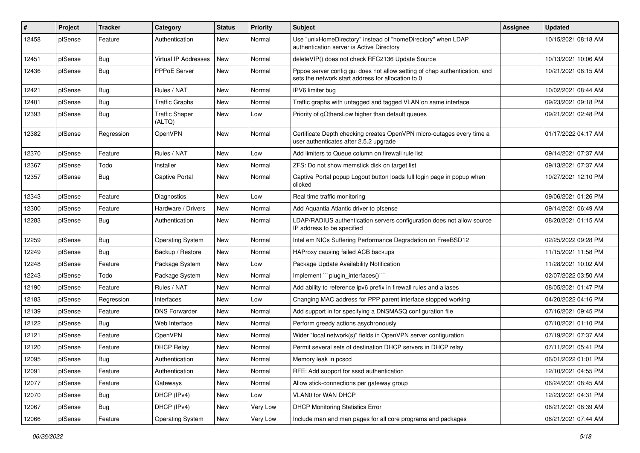| #     | Project | <b>Tracker</b> | Category                        | <b>Status</b> | <b>Priority</b> | Subject                                                                                                                          | <b>Assignee</b> | <b>Updated</b>      |
|-------|---------|----------------|---------------------------------|---------------|-----------------|----------------------------------------------------------------------------------------------------------------------------------|-----------------|---------------------|
| 12458 | pfSense | Feature        | Authentication                  | New           | Normal          | Use "unixHomeDirectory" instead of "homeDirectory" when LDAP<br>authentication server is Active Directory                        |                 | 10/15/2021 08:18 AM |
| 12451 | pfSense | Bug            | <b>Virtual IP Addresses</b>     | New           | Normal          | deleteVIP() does not check RFC2136 Update Source                                                                                 |                 | 10/13/2021 10:06 AM |
| 12436 | pfSense | Bug            | PPPoE Server                    | New           | Normal          | Pppoe server config gui does not allow setting of chap authentication, and<br>sets the network start address for allocation to 0 |                 | 10/21/2021 08:15 AM |
| 12421 | pfSense | Bug            | Rules / NAT                     | New           | Normal          | IPV6 limiter bug                                                                                                                 |                 | 10/02/2021 08:44 AM |
| 12401 | pfSense | <b>Bug</b>     | <b>Traffic Graphs</b>           | New           | Normal          | Traffic graphs with untagged and tagged VLAN on same interface                                                                   |                 | 09/23/2021 09:18 PM |
| 12393 | pfSense | Bug            | <b>Traffic Shaper</b><br>(ALTQ) | New           | Low             | Priority of qOthersLow higher than default queues                                                                                |                 | 09/21/2021 02:48 PM |
| 12382 | pfSense | Regression     | OpenVPN                         | New           | Normal          | Certificate Depth checking creates OpenVPN micro-outages every time a<br>user authenticates after 2.5.2 upgrade                  |                 | 01/17/2022 04:17 AM |
| 12370 | pfSense | Feature        | Rules / NAT                     | New           | Low             | Add limiters to Queue column on firewall rule list                                                                               |                 | 09/14/2021 07:37 AM |
| 12367 | pfSense | Todo           | Installer                       | New           | Normal          | ZFS: Do not show memstick disk on target list                                                                                    |                 | 09/13/2021 07:37 AM |
| 12357 | pfSense | Bug            | Captive Portal                  | New           | Normal          | Captive Portal popup Logout button loads full login page in popup when<br>clicked                                                |                 | 10/27/2021 12:10 PM |
| 12343 | pfSense | Feature        | <b>Diagnostics</b>              | <b>New</b>    | Low             | Real time traffic monitoring                                                                                                     |                 | 09/06/2021 01:26 PM |
| 12300 | pfSense | Feature        | Hardware / Drivers              | New           | Normal          | Add Aquantia Atlantic driver to pfsense                                                                                          |                 | 09/14/2021 06:49 AM |
| 12283 | pfSense | Bug            | Authentication                  | New           | Normal          | LDAP/RADIUS authentication servers configuration does not allow source<br>IP address to be specified                             |                 | 08/20/2021 01:15 AM |
| 12259 | pfSense | Bug            | <b>Operating System</b>         | New           | Normal          | Intel em NICs Suffering Performance Degradation on FreeBSD12                                                                     |                 | 02/25/2022 09:28 PM |
| 12249 | pfSense | Bug            | Backup / Restore                | <b>New</b>    | Normal          | HAProxy causing failed ACB backups                                                                                               |                 | 11/15/2021 11:58 PM |
| 12248 | pfSense | Feature        | Package System                  | <b>New</b>    | Low             | Package Update Availability Notification                                                                                         |                 | 11/28/2021 10:02 AM |
| 12243 | pfSense | Todo           | Package System                  | <b>New</b>    | Normal          | Implement "``plugin_interfaces()``                                                                                               |                 | 02/07/2022 03:50 AM |
| 12190 | pfSense | Feature        | Rules / NAT                     | <b>New</b>    | Normal          | Add ability to reference ipv6 prefix in firewall rules and aliases                                                               |                 | 08/05/2021 01:47 PM |
| 12183 | pfSense | Regression     | Interfaces                      | New           | Low             | Changing MAC address for PPP parent interface stopped working                                                                    |                 | 04/20/2022 04:16 PM |
| 12139 | pfSense | Feature        | <b>DNS Forwarder</b>            | New           | Normal          | Add support in for specifying a DNSMASQ configuration file                                                                       |                 | 07/16/2021 09:45 PM |
| 12122 | pfSense | Bug            | Web Interface                   | New           | Normal          | Perform greedy actions asychronously                                                                                             |                 | 07/10/2021 01:10 PM |
| 12121 | pfSense | Feature        | OpenVPN                         | New           | Normal          | Wider "local network(s)" fields in OpenVPN server configuration                                                                  |                 | 07/19/2021 07:37 AM |
| 12120 | pfSense | Feature        | <b>DHCP Relay</b>               | New           | Normal          | Permit several sets of destination DHCP servers in DHCP relay                                                                    |                 | 07/11/2021 05:41 PM |
| 12095 | pfSense | Bug            | Authentication                  | New           | Normal          | Memory leak in pcscd                                                                                                             |                 | 06/01/2022 01:01 PM |
| 12091 | pfSense | Feature        | Authentication                  | New           | Normal          | RFE: Add support for sssd authentication                                                                                         |                 | 12/10/2021 04:55 PM |
| 12077 | pfSense | Feature        | Gateways                        | New           | Normal          | Allow stick-connections per gateway group                                                                                        |                 | 06/24/2021 08:45 AM |
| 12070 | pfSense | <b>Bug</b>     | DHCP (IPv4)                     | New           | Low             | VLAN0 for WAN DHCP                                                                                                               |                 | 12/23/2021 04:31 PM |
| 12067 | pfSense | Bug            | DHCP (IPv4)                     | New           | Very Low        | <b>DHCP Monitoring Statistics Error</b>                                                                                          |                 | 06/21/2021 08:39 AM |
| 12066 | pfSense | Feature        | <b>Operating System</b>         | New           | Very Low        | Include man and man pages for all core programs and packages                                                                     |                 | 06/21/2021 07:44 AM |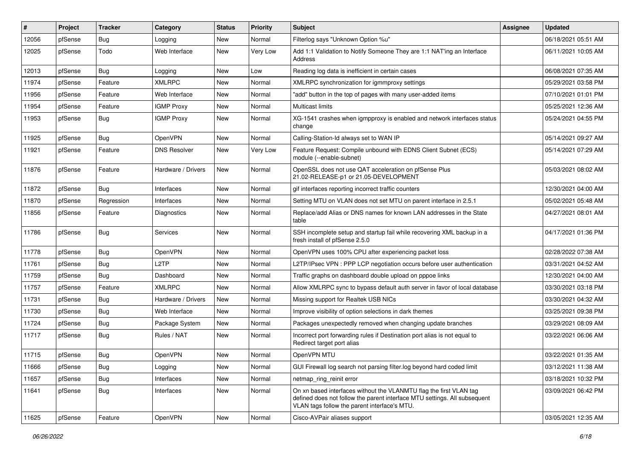| #     | Project | <b>Tracker</b> | Category            | <b>Status</b> | <b>Priority</b> | Subject                                                                                                                                                                                         | <b>Assignee</b> | <b>Updated</b>      |
|-------|---------|----------------|---------------------|---------------|-----------------|-------------------------------------------------------------------------------------------------------------------------------------------------------------------------------------------------|-----------------|---------------------|
| 12056 | pfSense | Bug            | Logging             | New           | Normal          | Filterlog says "Unknown Option %u"                                                                                                                                                              |                 | 06/18/2021 05:51 AM |
| 12025 | pfSense | Todo           | Web Interface       | New           | Very Low        | Add 1:1 Validation to Notify Someone They are 1:1 NAT'ing an Interface<br>Address                                                                                                               |                 | 06/11/2021 10:05 AM |
| 12013 | pfSense | Bug            | Logging             | New           | Low             | Reading log data is inefficient in certain cases                                                                                                                                                |                 | 06/08/2021 07:35 AM |
| 11974 | pfSense | Feature        | <b>XMLRPC</b>       | New           | Normal          | XMLRPC synchronization for igmmproxy settings                                                                                                                                                   |                 | 05/29/2021 03:58 PM |
| 11956 | pfSense | Feature        | Web Interface       | New           | Normal          | "add" button in the top of pages with many user-added items                                                                                                                                     |                 | 07/10/2021 01:01 PM |
| 11954 | pfSense | Feature        | <b>IGMP Proxy</b>   | New           | Normal          | <b>Multicast limits</b>                                                                                                                                                                         |                 | 05/25/2021 12:36 AM |
| 11953 | pfSense | Bug            | <b>IGMP Proxy</b>   | New           | Normal          | XG-1541 crashes when igmpproxy is enabled and network interfaces status<br>change                                                                                                               |                 | 05/24/2021 04:55 PM |
| 11925 | pfSense | Bug            | <b>OpenVPN</b>      | <b>New</b>    | Normal          | Calling-Station-Id always set to WAN IP                                                                                                                                                         |                 | 05/14/2021 09:27 AM |
| 11921 | pfSense | Feature        | <b>DNS Resolver</b> | New           | Very Low        | Feature Request: Compile unbound with EDNS Client Subnet (ECS)<br>module (--enable-subnet)                                                                                                      |                 | 05/14/2021 07:29 AM |
| 11876 | pfSense | Feature        | Hardware / Drivers  | New           | Normal          | OpenSSL does not use QAT acceleration on pfSense Plus<br>21.02-RELEASE-p1 or 21.05-DEVELOPMENT                                                                                                  |                 | 05/03/2021 08:02 AM |
| 11872 | pfSense | Bug            | Interfaces          | New           | Normal          | gif interfaces reporting incorrect traffic counters                                                                                                                                             |                 | 12/30/2021 04:00 AM |
| 11870 | pfSense | Regression     | Interfaces          | New           | Normal          | Setting MTU on VLAN does not set MTU on parent interface in 2.5.1                                                                                                                               |                 | 05/02/2021 05:48 AM |
| 11856 | pfSense | Feature        | Diagnostics         | New           | Normal          | Replace/add Alias or DNS names for known LAN addresses in the State<br>table                                                                                                                    |                 | 04/27/2021 08:01 AM |
| 11786 | pfSense | Bug            | <b>Services</b>     | New           | Normal          | SSH incomplete setup and startup fail while recovering XML backup in a<br>fresh install of pfSense 2.5.0                                                                                        |                 | 04/17/2021 01:36 PM |
| 11778 | pfSense | Bug            | OpenVPN             | <b>New</b>    | Normal          | OpenVPN uses 100% CPU after experiencing packet loss                                                                                                                                            |                 | 02/28/2022 07:38 AM |
| 11761 | pfSense | Bug            | L2TP                | New           | Normal          | L2TP/IPsec VPN : PPP LCP negotiation occurs before user authentication                                                                                                                          |                 | 03/31/2021 04:52 AM |
| 11759 | pfSense | <b>Bug</b>     | Dashboard           | New           | Normal          | Traffic graphs on dashboard double upload on pppoe links                                                                                                                                        |                 | 12/30/2021 04:00 AM |
| 11757 | pfSense | Feature        | <b>XMLRPC</b>       | <b>New</b>    | Normal          | Allow XMLRPC sync to bypass default auth server in favor of local database                                                                                                                      |                 | 03/30/2021 03:18 PM |
| 11731 | pfSense | Bug            | Hardware / Drivers  | New           | Normal          | Missing support for Realtek USB NICs                                                                                                                                                            |                 | 03/30/2021 04:32 AM |
| 11730 | pfSense | Bug            | Web Interface       | New           | Normal          | Improve visibility of option selections in dark themes                                                                                                                                          |                 | 03/25/2021 09:38 PM |
| 11724 | pfSense | Bug            | Package System      | New           | Normal          | Packages unexpectedly removed when changing update branches                                                                                                                                     |                 | 03/29/2021 08:09 AM |
| 11717 | pfSense | <b>Bug</b>     | Rules / NAT         | New           | Normal          | Incorrect port forwarding rules if Destination port alias is not equal to<br>Redirect target port alias                                                                                         |                 | 03/22/2021 06:06 AM |
| 11715 | pfSense | Bug            | OpenVPN             | New           | Normal          | OpenVPN MTU                                                                                                                                                                                     |                 | 03/22/2021 01:35 AM |
| 11666 | pfSense | <b>Bug</b>     | Logging             | New           | Normal          | GUI Firewall log search not parsing filter.log beyond hard coded limit                                                                                                                          |                 | 03/12/2021 11:38 AM |
| 11657 | pfSense | Bug            | Interfaces          | New           | Normal          | netmap_ring_reinit error                                                                                                                                                                        |                 | 03/18/2021 10:32 PM |
| 11641 | pfSense | <b>Bug</b>     | Interfaces          | New           | Normal          | On xn based interfaces without the VLANMTU flag the first VLAN tag<br>defined does not follow the parent interface MTU settings. All subsequent<br>VLAN tags follow the parent interface's MTU. |                 | 03/09/2021 06:42 PM |
| 11625 | pfSense | Feature        | <b>OpenVPN</b>      | New           | Normal          | Cisco-AVPair aliases support                                                                                                                                                                    |                 | 03/05/2021 12:35 AM |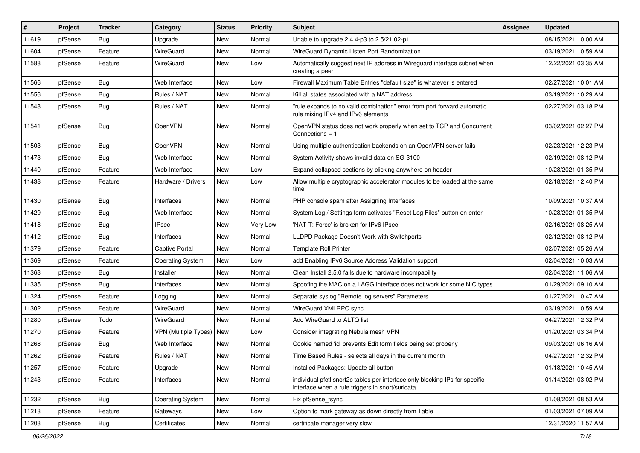| $\pmb{\sharp}$ | Project | <b>Tracker</b> | Category                | <b>Status</b> | <b>Priority</b> | Subject                                                                                                                          | <b>Assignee</b> | <b>Updated</b>      |
|----------------|---------|----------------|-------------------------|---------------|-----------------|----------------------------------------------------------------------------------------------------------------------------------|-----------------|---------------------|
| 11619          | pfSense | <b>Bug</b>     | Upgrade                 | New           | Normal          | Unable to upgrade 2.4.4-p3 to 2.5/21.02-p1                                                                                       |                 | 08/15/2021 10:00 AM |
| 11604          | pfSense | Feature        | WireGuard               | New           | Normal          | WireGuard Dynamic Listen Port Randomization                                                                                      |                 | 03/19/2021 10:59 AM |
| 11588          | pfSense | Feature        | WireGuard               | New           | Low             | Automatically suggest next IP address in Wireguard interface subnet when<br>creating a peer                                      |                 | 12/22/2021 03:35 AM |
| 11566          | pfSense | <b>Bug</b>     | Web Interface           | <b>New</b>    | Low             | Firewall Maximum Table Entries "default size" is whatever is entered                                                             |                 | 02/27/2021 10:01 AM |
| 11556          | pfSense | Bug            | Rules / NAT             | New           | Normal          | Kill all states associated with a NAT address                                                                                    |                 | 03/19/2021 10:29 AM |
| 11548          | pfSense | Bug            | Rules / NAT             | New           | Normal          | "rule expands to no valid combination" error from port forward automatic<br>rule mixing IPv4 and IPv6 elements                   |                 | 02/27/2021 03:18 PM |
| 11541          | pfSense | Bug            | OpenVPN                 | <b>New</b>    | Normal          | OpenVPN status does not work properly when set to TCP and Concurrent<br>Connections = 1                                          |                 | 03/02/2021 02:27 PM |
| 11503          | pfSense | Bug            | OpenVPN                 | <b>New</b>    | Normal          | Using multiple authentication backends on an OpenVPN server fails                                                                |                 | 02/23/2021 12:23 PM |
| 11473          | pfSense | <b>Bug</b>     | Web Interface           | New           | Normal          | System Activity shows invalid data on SG-3100                                                                                    |                 | 02/19/2021 08:12 PM |
| 11440          | pfSense | Feature        | Web Interface           | <b>New</b>    | Low             | Expand collapsed sections by clicking anywhere on header                                                                         |                 | 10/28/2021 01:35 PM |
| 11438          | pfSense | Feature        | Hardware / Drivers      | New           | Low             | Allow multiple cryptographic accelerator modules to be loaded at the same<br>time                                                |                 | 02/18/2021 12:40 PM |
| 11430          | pfSense | Bug            | Interfaces              | New           | Normal          | PHP console spam after Assigning Interfaces                                                                                      |                 | 10/09/2021 10:37 AM |
| 11429          | pfSense | <b>Bug</b>     | Web Interface           | New           | Normal          | System Log / Settings form activates "Reset Log Files" button on enter                                                           |                 | 10/28/2021 01:35 PM |
| 11418          | pfSense | Bug            | <b>IPsec</b>            | New           | <b>Very Low</b> | 'NAT-T: Force' is broken for IPv6 IPsec                                                                                          |                 | 02/16/2021 08:25 AM |
| 11412          | pfSense | Bug            | Interfaces              | New           | Normal          | LLDPD Package Doesn't Work with Switchports                                                                                      |                 | 02/12/2021 08:12 PM |
| 11379          | pfSense | Feature        | <b>Captive Portal</b>   | <b>New</b>    | Normal          | <b>Template Roll Printer</b>                                                                                                     |                 | 02/07/2021 05:26 AM |
| 11369          | pfSense | Feature        | <b>Operating System</b> | <b>New</b>    | Low             | add Enabling IPv6 Source Address Validation support                                                                              |                 | 02/04/2021 10:03 AM |
| 11363          | pfSense | Bug            | Installer               | New           | Normal          | Clean Install 2.5.0 fails due to hardware incompability                                                                          |                 | 02/04/2021 11:06 AM |
| 11335          | pfSense | <b>Bug</b>     | Interfaces              | New           | Normal          | Spoofing the MAC on a LAGG interface does not work for some NIC types.                                                           |                 | 01/29/2021 09:10 AM |
| 11324          | pfSense | Feature        | Logging                 | <b>New</b>    | Normal          | Separate syslog "Remote log servers" Parameters                                                                                  |                 | 01/27/2021 10:47 AM |
| 11302          | pfSense | Feature        | WireGuard               | New           | Normal          | WireGuard XMLRPC sync                                                                                                            |                 | 03/19/2021 10:59 AM |
| 11280          | pfSense | Todo           | WireGuard               | New           | Normal          | Add WireGuard to ALTQ list                                                                                                       |                 | 04/27/2021 12:32 PM |
| 11270          | pfSense | Feature        | VPN (Multiple Types)    | New           | Low             | Consider integrating Nebula mesh VPN                                                                                             |                 | 01/20/2021 03:34 PM |
| 11268          | pfSense | <b>Bug</b>     | Web Interface           | New           | Normal          | Cookie named 'id' prevents Edit form fields being set properly                                                                   |                 | 09/03/2021 06:16 AM |
| 11262          | pfSense | Feature        | Rules / NAT             | New           | Normal          | Time Based Rules - selects all days in the current month                                                                         |                 | 04/27/2021 12:32 PM |
| 11257          | pfSense | Feature        | Upgrade                 | New           | Normal          | Installed Packages: Update all button                                                                                            |                 | 01/18/2021 10:45 AM |
| 11243          | pfSense | Feature        | Interfaces              | New           | Normal          | individual pfctl snort2c tables per interface only blocking IPs for specific<br>interface when a rule triggers in snort/suricata |                 | 01/14/2021 03:02 PM |
| 11232          | pfSense | Bug            | <b>Operating System</b> | New           | Normal          | Fix pfSense_fsync                                                                                                                |                 | 01/08/2021 08:53 AM |
| 11213          | pfSense | Feature        | Gateways                | New           | Low             | Option to mark gateway as down directly from Table                                                                               |                 | 01/03/2021 07:09 AM |
| 11203          | pfSense | Bug            | Certificates            | New           | Normal          | certificate manager very slow                                                                                                    |                 | 12/31/2020 11:57 AM |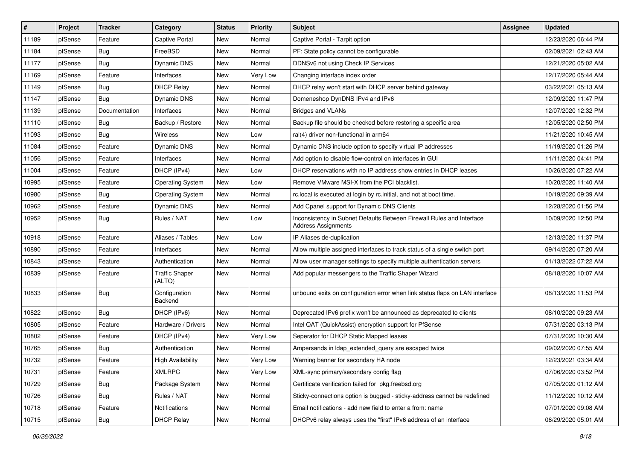| ∦     | Project | <b>Tracker</b> | Category                        | <b>Status</b> | <b>Priority</b> | Subject                                                                                      | Assignee | <b>Updated</b>      |
|-------|---------|----------------|---------------------------------|---------------|-----------------|----------------------------------------------------------------------------------------------|----------|---------------------|
| 11189 | pfSense | Feature        | Captive Portal                  | <b>New</b>    | Normal          | Captive Portal - Tarpit option                                                               |          | 12/23/2020 06:44 PM |
| 11184 | pfSense | Bug            | FreeBSD                         | New           | Normal          | PF: State policy cannot be configurable                                                      |          | 02/09/2021 02:43 AM |
| 11177 | pfSense | Bug            | Dynamic DNS                     | New           | Normal          | DDNSv6 not using Check IP Services                                                           |          | 12/21/2020 05:02 AM |
| 11169 | pfSense | Feature        | Interfaces                      | New           | <b>Very Low</b> | Changing interface index order                                                               |          | 12/17/2020 05:44 AM |
| 11149 | pfSense | Bug            | <b>DHCP Relay</b>               | New           | Normal          | DHCP relay won't start with DHCP server behind gateway                                       |          | 03/22/2021 05:13 AM |
| 11147 | pfSense | Bug            | Dynamic DNS                     | New           | Normal          | Domeneshop DynDNS IPv4 and IPv6                                                              |          | 12/09/2020 11:47 PM |
| 11139 | pfSense | Documentation  | Interfaces                      | New           | Normal          | <b>Bridges and VLANs</b>                                                                     |          | 12/07/2020 12:32 PM |
| 11110 | pfSense | Bug            | Backup / Restore                | New           | Normal          | Backup file should be checked before restoring a specific area                               |          | 12/05/2020 02:50 PM |
| 11093 | pfSense | Bug            | Wireless                        | New           | Low             | ral(4) driver non-functional in arm64                                                        |          | 11/21/2020 10:45 AM |
| 11084 | pfSense | Feature        | Dynamic DNS                     | <b>New</b>    | Normal          | Dynamic DNS include option to specify virtual IP addresses                                   |          | 11/19/2020 01:26 PM |
| 11056 | pfSense | Feature        | Interfaces                      | New           | Normal          | Add option to disable flow-control on interfaces in GUI                                      |          | 11/11/2020 04:41 PM |
| 11004 | pfSense | Feature        | DHCP (IPv4)                     | <b>New</b>    | Low             | DHCP reservations with no IP address show entries in DHCP leases                             |          | 10/26/2020 07:22 AM |
| 10995 | pfSense | Feature        | <b>Operating System</b>         | New           | Low             | Remove VMware MSI-X from the PCI blacklist.                                                  |          | 10/20/2020 11:40 AM |
| 10980 | pfSense | Bug            | <b>Operating System</b>         | New           | Normal          | rc.local is executed at login by rc.initial, and not at boot time.                           |          | 10/19/2020 09:39 AM |
| 10962 | pfSense | Feature        | Dynamic DNS                     | New           | Normal          | Add Cpanel support for Dynamic DNS Clients                                                   |          | 12/28/2020 01:56 PM |
| 10952 | pfSense | Bug            | Rules / NAT                     | New           | Low             | Inconsistency in Subnet Defaults Between Firewall Rules and Interface<br>Address Assignments |          | 10/09/2020 12:50 PM |
| 10918 | pfSense | Feature        | Aliases / Tables                | New           | Low             | IP Aliases de-duplication                                                                    |          | 12/13/2020 11:37 PM |
| 10890 | pfSense | Feature        | Interfaces                      | New           | Normal          | Allow multiple assigned interfaces to track status of a single switch port                   |          | 09/14/2020 07:20 AM |
| 10843 | pfSense | Feature        | Authentication                  | New           | Normal          | Allow user manager settings to specify multiple authentication servers                       |          | 01/13/2022 07:22 AM |
| 10839 | pfSense | Feature        | <b>Traffic Shaper</b><br>(ALTQ) | New           | Normal          | Add popular messengers to the Traffic Shaper Wizard                                          |          | 08/18/2020 10:07 AM |
| 10833 | pfSense | Bug            | Configuration<br>Backend        | New           | Normal          | unbound exits on configuration error when link status flaps on LAN interface                 |          | 08/13/2020 11:53 PM |
| 10822 | pfSense | Bug            | DHCP (IPv6)                     | New           | Normal          | Deprecated IPv6 prefix won't be announced as deprecated to clients                           |          | 08/10/2020 09:23 AM |
| 10805 | pfSense | Feature        | Hardware / Drivers              | New           | Normal          | Intel QAT (QuickAssist) encryption support for PfSense                                       |          | 07/31/2020 03:13 PM |
| 10802 | pfSense | Feature        | DHCP (IPv4)                     | New           | Very Low        | Seperator for DHCP Static Mapped leases                                                      |          | 07/31/2020 10:30 AM |
| 10765 | pfSense | <b>Bug</b>     | Authentication                  | New           | Normal          | Ampersands in Idap extended query are escaped twice                                          |          | 09/02/2020 07:55 AM |
| 10732 | pfSense | Feature        | High Availability               | New           | Very Low        | Warning banner for secondary HA node                                                         |          | 12/23/2021 03:34 AM |
| 10731 | pfSense | Feature        | XMLRPC                          | New           | Very Low        | XML-sync primary/secondary config flag                                                       |          | 07/06/2020 03:52 PM |
| 10729 | pfSense | <b>Bug</b>     | Package System                  | New           | Normal          | Certificate verification failed for pkg.freebsd.org                                          |          | 07/05/2020 01:12 AM |
| 10726 | pfSense | <b>Bug</b>     | Rules / NAT                     | New           | Normal          | Sticky-connections option is bugged - sticky-address cannot be redefined                     |          | 11/12/2020 10:12 AM |
| 10718 | pfSense | Feature        | Notifications                   | New           | Normal          | Email notifications - add new field to enter a from: name                                    |          | 07/01/2020 09:08 AM |
| 10715 | pfSense | Bug            | <b>DHCP Relay</b>               | New           | Normal          | DHCPv6 relay always uses the "first" IPv6 address of an interface                            |          | 06/29/2020 05:01 AM |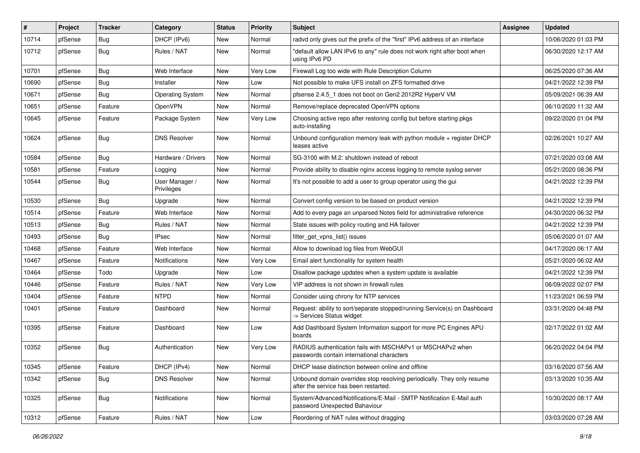| #     | Project | <b>Tracker</b> | Category                     | <b>Status</b> | <b>Priority</b> | Subject                                                                                                         | <b>Assignee</b> | <b>Updated</b>      |
|-------|---------|----------------|------------------------------|---------------|-----------------|-----------------------------------------------------------------------------------------------------------------|-----------------|---------------------|
| 10714 | pfSense | <b>Bug</b>     | DHCP (IPv6)                  | New           | Normal          | radvd only gives out the prefix of the "first" IPv6 address of an interface                                     |                 | 10/06/2020 01:03 PM |
| 10712 | pfSense | Bug            | Rules / NAT                  | New           | Normal          | "default allow LAN IPv6 to any" rule does not work right after boot when<br>using IPv6 PD                       |                 | 06/30/2020 12:17 AM |
| 10701 | pfSense | Bug            | Web Interface                | New           | Very Low        | Firewall Log too wide with Rule Description Column                                                              |                 | 06/25/2020 07:36 AM |
| 10690 | pfSense | Bug            | Installer                    | <b>New</b>    | Low             | Not possible to make UFS install on ZFS formatted drive                                                         |                 | 04/21/2022 12:39 PM |
| 10671 | pfSense | Bug            | <b>Operating System</b>      | New           | Normal          | pfsense 2.4.5 1 does not boot on Gen2 2012R2 HyperV VM                                                          |                 | 05/09/2021 06:39 AM |
| 10651 | pfSense | Feature        | OpenVPN                      | New           | Normal          | Remove/replace deprecated OpenVPN options                                                                       |                 | 06/10/2020 11:32 AM |
| 10645 | pfSense | Feature        | Package System               | New           | <b>Very Low</b> | Choosing active repo after restoring config but before starting pkgs<br>auto-installing                         |                 | 09/22/2020 01:04 PM |
| 10624 | pfSense | Bug            | <b>DNS Resolver</b>          | New           | Normal          | Unbound configuration memory leak with python module + register DHCP<br>leases active                           |                 | 02/26/2021 10:27 AM |
| 10584 | pfSense | Bug            | Hardware / Drivers           | New           | Normal          | SG-3100 with M.2: shutdown instead of reboot                                                                    |                 | 07/21/2020 03:08 AM |
| 10581 | pfSense | Feature        | Logging                      | New           | Normal          | Provide ability to disable nginx access logging to remote syslog server                                         |                 | 05/21/2020 08:36 PM |
| 10544 | pfSense | Bug            | User Manager /<br>Privileges | New           | Normal          | It's not possible to add a user to group operator using the gui                                                 |                 | 04/21/2022 12:39 PM |
| 10530 | pfSense | Bug            | Upgrade                      | <b>New</b>    | Normal          | Convert config version to be based on product version                                                           |                 | 04/21/2022 12:39 PM |
| 10514 | pfSense | Feature        | Web Interface                | New           | Normal          | Add to every page an unparsed Notes field for administrative reference                                          |                 | 04/30/2020 06:32 PM |
| 10513 | pfSense | <b>Bug</b>     | Rules / NAT                  | New           | Normal          | State issues with policy routing and HA failover                                                                |                 | 04/21/2022 12:39 PM |
| 10493 | pfSense | <b>Bug</b>     | <b>IPsec</b>                 | <b>New</b>    | Normal          | filter_get_vpns_list() issues                                                                                   |                 | 05/06/2020 01:07 AM |
| 10468 | pfSense | Feature        | Web Interface                | New           | Normal          | Allow to download log files from WebGUI                                                                         |                 | 04/17/2020 06:17 AM |
| 10467 | pfSense | Feature        | Notifications                | New           | <b>Very Low</b> | Email alert functionality for system health                                                                     |                 | 05/21/2020 06:02 AM |
| 10464 | pfSense | Todo           | Upgrade                      | New           | Low             | Disallow package updates when a system update is available                                                      |                 | 04/21/2022 12:39 PM |
| 10446 | pfSense | Feature        | Rules / NAT                  | New           | Very Low        | VIP address is not shown in firewall rules                                                                      |                 | 06/09/2022 02:07 PM |
| 10404 | pfSense | Feature        | <b>NTPD</b>                  | New           | Normal          | Consider using chrony for NTP services                                                                          |                 | 11/23/2021 06:59 PM |
| 10401 | pfSense | Feature        | Dashboard                    | New           | Normal          | Request: ability to sort/separate stopped/running Service(s) on Dashboard<br>-> Services Status widget          |                 | 03/31/2020 04:48 PM |
| 10395 | pfSense | Feature        | Dashboard                    | New           | Low             | Add Dashboard System Information support for more PC Engines APU<br>boards                                      |                 | 02/17/2022 01:02 AM |
| 10352 | pfSense | Bug            | Authentication               | New           | <b>Very Low</b> | RADIUS authentication fails with MSCHAPv1 or MSCHAPv2 when<br>passwords contain international characters        |                 | 06/20/2022 04:04 PM |
| 10345 | pfSense | Feature        | DHCP (IPv4)                  | New           | Normal          | DHCP lease distinction between online and offline                                                               |                 | 03/16/2020 07:56 AM |
| 10342 | pfSense | Bug            | <b>DNS Resolver</b>          | New           | Normal          | Unbound domain overrides stop resolving periodically. They only resume<br>after the service has been restarted. |                 | 03/13/2020 10:35 AM |
| 10325 | pfSense | Bug            | Notifications                | New           | Normal          | System/Advanced/Notifications/E-Mail - SMTP Notification E-Mail auth<br>password Unexpected Bahaviour           |                 | 10/30/2020 08:17 AM |
| 10312 | pfSense | Feature        | Rules / NAT                  | New           | Low             | Reordering of NAT rules without dragging                                                                        |                 | 03/03/2020 07:28 AM |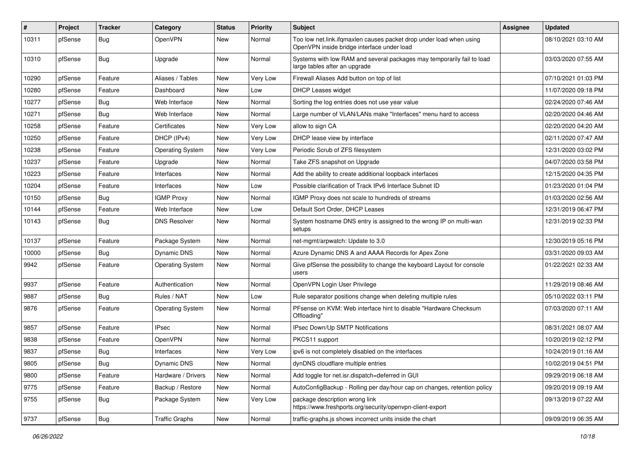| ∦     | Project | <b>Tracker</b> | Category                | <b>Status</b> | <b>Priority</b> | Subject                                                                                                           | Assignee | <b>Updated</b>      |
|-------|---------|----------------|-------------------------|---------------|-----------------|-------------------------------------------------------------------------------------------------------------------|----------|---------------------|
| 10311 | pfSense | Bug            | OpenVPN                 | New           | Normal          | Too low net.link.ifqmaxlen causes packet drop under load when using<br>OpenVPN inside bridge interface under load |          | 08/10/2021 03:10 AM |
| 10310 | pfSense | Bug            | Upgrade                 | New           | Normal          | Systems with low RAM and several packages may temporarily fail to load<br>large tables after an upgrade           |          | 03/03/2020 07:55 AM |
| 10290 | pfSense | Feature        | Aliases / Tables        | New           | <b>Very Low</b> | Firewall Aliases Add button on top of list                                                                        |          | 07/10/2021 01:03 PM |
| 10280 | pfSense | Feature        | Dashboard               | New           | Low             | <b>DHCP Leases widget</b>                                                                                         |          | 11/07/2020 09:18 PM |
| 10277 | pfSense | Bug            | Web Interface           | New           | Normal          | Sorting the log entries does not use year value                                                                   |          | 02/24/2020 07:46 AM |
| 10271 | pfSense | Bug            | Web Interface           | New           | Normal          | Large number of VLAN/LANs make "Interfaces" menu hard to access                                                   |          | 02/20/2020 04:46 AM |
| 10258 | pfSense | Feature        | Certificates            | New           | Very Low        | allow to sign CA                                                                                                  |          | 02/20/2020 04:20 AM |
| 10250 | pfSense | Feature        | DHCP (IPv4)             | New           | <b>Very Low</b> | DHCP lease view by interface                                                                                      |          | 02/11/2020 07:47 AM |
| 10238 | pfSense | Feature        | <b>Operating System</b> | New           | Very Low        | Periodic Scrub of ZFS filesystem                                                                                  |          | 12/31/2020 03:02 PM |
| 10237 | pfSense | Feature        | Upgrade                 | New           | Normal          | Take ZFS snapshot on Upgrade                                                                                      |          | 04/07/2020 03:58 PM |
| 10223 | pfSense | Feature        | Interfaces              | <b>New</b>    | Normal          | Add the ability to create additional loopback interfaces                                                          |          | 12/15/2020 04:35 PM |
| 10204 | pfSense | Feature        | Interfaces              | New           | Low             | Possible clarification of Track IPv6 Interface Subnet ID                                                          |          | 01/23/2020 01:04 PM |
| 10150 | pfSense | Bug            | <b>IGMP Proxy</b>       | New           | Normal          | IGMP Proxy does not scale to hundreds of streams                                                                  |          | 01/03/2020 02:56 AM |
| 10144 | pfSense | Feature        | Web Interface           | New           | Low             | Default Sort Order, DHCP Leases                                                                                   |          | 12/31/2019 06:47 PM |
| 10143 | pfSense | <b>Bug</b>     | <b>DNS Resolver</b>     | New           | Normal          | System hostname DNS entry is assigned to the wrong IP on multi-wan<br>setups                                      |          | 12/31/2019 02:33 PM |
| 10137 | pfSense | Feature        | Package System          | <b>New</b>    | Normal          | net-mgmt/arpwatch: Update to 3.0                                                                                  |          | 12/30/2019 05:16 PM |
| 10000 | pfSense | Bug            | Dynamic DNS             | New           | Normal          | Azure Dynamic DNS A and AAAA Records for Apex Zone                                                                |          | 03/31/2020 09:03 AM |
| 9942  | pfSense | Feature        | <b>Operating System</b> | New           | Normal          | Give pfSense the possibility to change the keyboard Layout for console<br>users                                   |          | 01/22/2021 02:33 AM |
| 9937  | pfSense | Feature        | Authentication          | <b>New</b>    | Normal          | OpenVPN Login User Privilege                                                                                      |          | 11/29/2019 08:46 AM |
| 9887  | pfSense | Bug            | Rules / NAT             | New           | Low             | Rule separator positions change when deleting multiple rules                                                      |          | 05/10/2022 03:11 PM |
| 9876  | pfSense | Feature        | <b>Operating System</b> | <b>New</b>    | Normal          | PFsense on KVM: Web interface hint to disable "Hardware Checksum<br>Offloading"                                   |          | 07/03/2020 07:11 AM |
| 9857  | pfSense | Feature        | <b>IPsec</b>            | <b>New</b>    | Normal          | IPsec Down/Up SMTP Notifications                                                                                  |          | 08/31/2021 08:07 AM |
| 9838  | pfSense | Feature        | OpenVPN                 | New           | Normal          | PKCS11 support                                                                                                    |          | 10/20/2019 02:12 PM |
| 9837  | pfSense | <b>Bug</b>     | Interfaces              | <b>New</b>    | Very Low        | ipv6 is not completely disabled on the interfaces                                                                 |          | 10/24/2019 01:16 AM |
| 9805  | pfSense | <b>Bug</b>     | Dynamic DNS             | New           | Normal          | dynDNS cloudflare multiple entries                                                                                |          | 10/02/2019 04:51 PM |
| 9800  | pfSense | Feature        | Hardware / Drivers      | New           | Normal          | Add toggle for net.isr.dispatch=deferred in GUI                                                                   |          | 09/29/2019 06:18 AM |
| 9775  | pfSense | Feature        | Backup / Restore        | New           | Normal          | AutoConfigBackup - Rolling per day/hour cap on changes, retention policy                                          |          | 09/20/2019 09:19 AM |
| 9755  | pfSense | <b>Bug</b>     | Package System          | New           | Very Low        | package description wrong link<br>https://www.freshports.org/security/openvpn-client-export                       |          | 09/13/2019 07:22 AM |
| 9737  | pfSense | Bug            | <b>Traffic Graphs</b>   | New           | Normal          | traffic-graphs is shows incorrect units inside the chart                                                          |          | 09/09/2019 06:35 AM |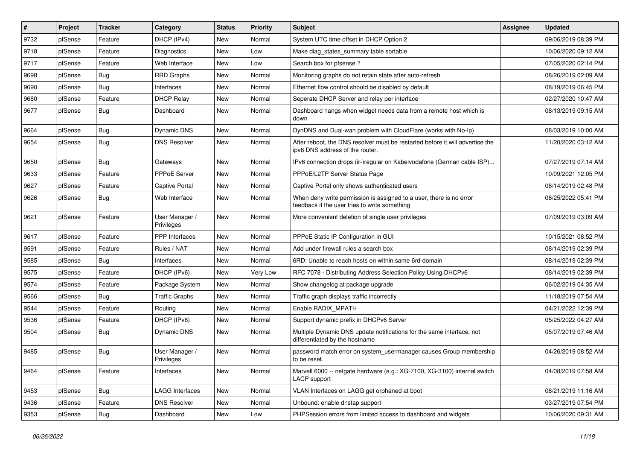| $\sharp$ | Project | <b>Tracker</b> | Category                     | <b>Status</b> | <b>Priority</b> | Subject                                                                                                              | <b>Assignee</b> | <b>Updated</b>      |
|----------|---------|----------------|------------------------------|---------------|-----------------|----------------------------------------------------------------------------------------------------------------------|-----------------|---------------------|
| 9732     | pfSense | Feature        | DHCP (IPv4)                  | <b>New</b>    | Normal          | System UTC time offset in DHCP Option 2                                                                              |                 | 09/06/2019 08:39 PM |
| 9718     | pfSense | Feature        | Diagnostics                  | <b>New</b>    | Low             | Make diag_states_summary table sortable                                                                              |                 | 10/06/2020 09:12 AM |
| 9717     | pfSense | Feature        | Web Interface                | <b>New</b>    | Low             | Search box for pfsense?                                                                                              |                 | 07/05/2020 02:14 PM |
| 9698     | pfSense | Bug            | <b>RRD Graphs</b>            | <b>New</b>    | Normal          | Monitoring graphs do not retain state after auto-refresh                                                             |                 | 08/26/2019 02:09 AM |
| 9690     | pfSense | <b>Bug</b>     | Interfaces                   | <b>New</b>    | Normal          | Ethernet flow control should be disabled by default                                                                  |                 | 08/19/2019 06:45 PM |
| 9680     | pfSense | Feature        | <b>DHCP Relay</b>            | <b>New</b>    | Normal          | Seperate DHCP Server and relay per interface                                                                         |                 | 02/27/2020 10:47 AM |
| 9677     | pfSense | <b>Bug</b>     | Dashboard                    | New           | Normal          | Dashboard hangs when widget needs data from a remote host which is<br>down                                           |                 | 08/13/2019 09:15 AM |
| 9664     | pfSense | Bug            | Dynamic DNS                  | New           | Normal          | DynDNS and Dual-wan problem with CloudFlare (works with No-Ip)                                                       |                 | 08/03/2019 10:00 AM |
| 9654     | pfSense | Bug            | <b>DNS Resolver</b>          | New           | Normal          | After reboot, the DNS resolver must be restarted before it will advertise the<br>ipv6 DNS address of the router.     |                 | 11/20/2020 03:12 AM |
| 9650     | pfSense | Bug            | Gateways                     | <b>New</b>    | Normal          | IPv6 connection drops (ir-)regular on Kabelvodafone (German cable ISP)                                               |                 | 07/27/2019 07:14 AM |
| 9633     | pfSense | Feature        | PPPoE Server                 | <b>New</b>    | Normal          | PPPoE/L2TP Server Status Page                                                                                        |                 | 10/09/2021 12:05 PM |
| 9627     | pfSense | Feature        | <b>Captive Portal</b>        | New           | Normal          | Captive Portal only shows authenticated users                                                                        |                 | 08/14/2019 02:48 PM |
| 9626     | pfSense | <b>Bug</b>     | Web Interface                | New           | Normal          | When deny write permission is assigned to a user, there is no error<br>feedback if the user tries to write something |                 | 06/25/2022 05:41 PM |
| 9621     | pfSense | Feature        | User Manager /<br>Privileges | New           | Normal          | More convenient deletion of single user privileges                                                                   |                 | 07/09/2019 03:09 AM |
| 9617     | pfSense | Feature        | <b>PPP</b> Interfaces        | <b>New</b>    | Normal          | PPPoE Static IP Configuration in GUI                                                                                 |                 | 10/15/2021 08:52 PM |
| 9591     | pfSense | Feature        | Rules / NAT                  | New           | Normal          | Add under firewall rules a search box                                                                                |                 | 08/14/2019 02:39 PM |
| 9585     | pfSense | Bug            | Interfaces                   | <b>New</b>    | Normal          | 6RD: Unable to reach hosts on within same 6rd-domain                                                                 |                 | 08/14/2019 02:39 PM |
| 9575     | pfSense | Feature        | DHCP (IPv6)                  | New           | Very Low        | RFC 7078 - Distributing Address Selection Policy Using DHCPv6                                                        |                 | 08/14/2019 02:39 PM |
| 9574     | pfSense | Feature        | Package System               | New           | Normal          | Show changelog at package upgrade                                                                                    |                 | 06/02/2019 04:35 AM |
| 9566     | pfSense | <b>Bug</b>     | <b>Traffic Graphs</b>        | <b>New</b>    | Normal          | Traffic graph displays traffic incorrectly                                                                           |                 | 11/18/2019 07:54 AM |
| 9544     | pfSense | Feature        | Routing                      | New           | Normal          | Enable RADIX_MPATH                                                                                                   |                 | 04/21/2022 12:39 PM |
| 9536     | pfSense | Feature        | DHCP (IPv6)                  | New           | Normal          | Support dynamic prefix in DHCPv6 Server                                                                              |                 | 05/25/2022 04:27 AM |
| 9504     | pfSense | <b>Bug</b>     | Dynamic DNS                  | New           | Normal          | Multiple Dynamic DNS update notifications for the same interface, not<br>differentiated by the hostname              |                 | 05/07/2019 07:46 AM |
| 9485     | pfSense | <b>Bug</b>     | User Manager /<br>Privileges | New           | Normal          | password match error on system_usermanager causes Group membership<br>to be reset.                                   |                 | 04/26/2019 08:52 AM |
| 9464     | pfSense | Feature        | Interfaces                   | New           | Normal          | Marvell 6000 -- netgate hardware (e.g.: XG-7100, XG-3100) internal switch<br>LACP support                            |                 | 04/08/2019 07:58 AM |
| 9453     | pfSense | Bug            | <b>LAGG Interfaces</b>       | New           | Normal          | VLAN Interfaces on LAGG get orphaned at boot                                                                         |                 | 08/21/2019 11:16 AM |
| 9436     | pfSense | Feature        | <b>DNS Resolver</b>          | New           | Normal          | Unbound: enable dnstap support                                                                                       |                 | 03/27/2019 07:54 PM |
| 9353     | pfSense | Bug            | Dashboard                    | New           | Low             | PHPSession errors from limited access to dashboard and widgets                                                       |                 | 10/06/2020 09:31 AM |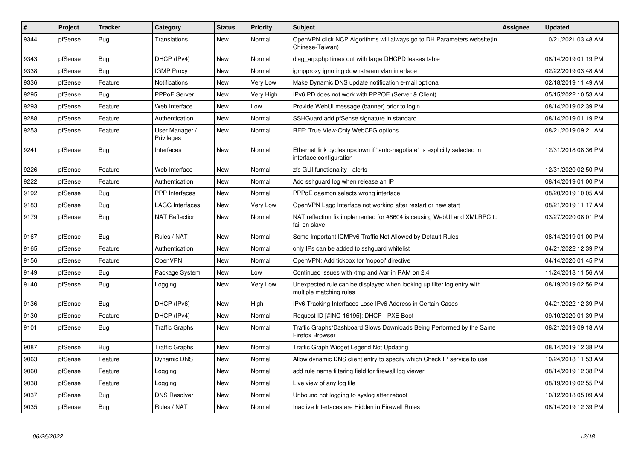| $\sharp$ | Project | <b>Tracker</b> | Category                     | <b>Status</b> | <b>Priority</b> | <b>Subject</b>                                                                                        | Assignee | <b>Updated</b>      |
|----------|---------|----------------|------------------------------|---------------|-----------------|-------------------------------------------------------------------------------------------------------|----------|---------------------|
| 9344     | pfSense | Bug            | <b>Translations</b>          | <b>New</b>    | Normal          | OpenVPN click NCP Algorithms will always go to DH Parameters website(in<br>Chinese-Taiwan)            |          | 10/21/2021 03:48 AM |
| 9343     | pfSense | Bug            | DHCP (IPv4)                  | New           | Normal          | diag_arp.php times out with large DHCPD leases table                                                  |          | 08/14/2019 01:19 PM |
| 9338     | pfSense | Bug            | <b>IGMP Proxy</b>            | <b>New</b>    | Normal          | igmpproxy ignoring downstream vlan interface                                                          |          | 02/22/2019 03:48 AM |
| 9336     | pfSense | Feature        | Notifications                | <b>New</b>    | Very Low        | Make Dynamic DNS update notification e-mail optional                                                  |          | 02/18/2019 11:49 AM |
| 9295     | pfSense | Bug            | <b>PPPoE Server</b>          | <b>New</b>    | Very High       | IPv6 PD does not work with PPPOE (Server & Client)                                                    |          | 05/15/2022 10:53 AM |
| 9293     | pfSense | Feature        | Web Interface                | New           | Low             | Provide WebUI message (banner) prior to login                                                         |          | 08/14/2019 02:39 PM |
| 9288     | pfSense | Feature        | Authentication               | New           | Normal          | SSHGuard add pfSense signature in standard                                                            |          | 08/14/2019 01:19 PM |
| 9253     | pfSense | Feature        | User Manager /<br>Privileges | New           | Normal          | RFE: True View-Only WebCFG options                                                                    |          | 08/21/2019 09:21 AM |
| 9241     | pfSense | Bug            | Interfaces                   | New           | Normal          | Ethernet link cycles up/down if "auto-negotiate" is explicitly selected in<br>interface configuration |          | 12/31/2018 08:36 PM |
| 9226     | pfSense | Feature        | Web Interface                | <b>New</b>    | Normal          | zfs GUI functionality - alerts                                                                        |          | 12/31/2020 02:50 PM |
| 9222     | pfSense | Feature        | Authentication               | New           | Normal          | Add sshguard log when release an IP                                                                   |          | 08/14/2019 01:00 PM |
| 9192     | pfSense | <b>Bug</b>     | <b>PPP</b> Interfaces        | <b>New</b>    | Normal          | PPPoE daemon selects wrong interface                                                                  |          | 08/20/2019 10:05 AM |
| 9183     | pfSense | <b>Bug</b>     | LAGG Interfaces              | New           | Very Low        | OpenVPN Lagg Interface not working after restart or new start                                         |          | 08/21/2019 11:17 AM |
| 9179     | pfSense | <b>Bug</b>     | <b>NAT Reflection</b>        | <b>New</b>    | Normal          | NAT reflection fix implemented for #8604 is causing WebUI and XMLRPC to<br>fail on slave              |          | 03/27/2020 08:01 PM |
| 9167     | pfSense | Bug            | Rules / NAT                  | <b>New</b>    | Normal          | Some Important ICMPv6 Traffic Not Allowed by Default Rules                                            |          | 08/14/2019 01:00 PM |
| 9165     | pfSense | Feature        | Authentication               | <b>New</b>    | Normal          | only IPs can be added to sshguard whitelist                                                           |          | 04/21/2022 12:39 PM |
| 9156     | pfSense | Feature        | <b>OpenVPN</b>               | <b>New</b>    | Normal          | OpenVPN: Add tickbox for 'nopool' directive                                                           |          | 04/14/2020 01:45 PM |
| 9149     | pfSense | <b>Bug</b>     | Package System               | New           | Low             | Continued issues with /tmp and /var in RAM on 2.4                                                     |          | 11/24/2018 11:56 AM |
| 9140     | pfSense | Bug            | Logging                      | <b>New</b>    | Very Low        | Unexpected rule can be displayed when looking up filter log entry with<br>multiple matching rules     |          | 08/19/2019 02:56 PM |
| 9136     | pfSense | Bug            | DHCP (IPv6)                  | <b>New</b>    | High            | IPv6 Tracking Interfaces Lose IPv6 Address in Certain Cases                                           |          | 04/21/2022 12:39 PM |
| 9130     | pfSense | Feature        | DHCP (IPv4)                  | <b>New</b>    | Normal          | Request ID [#INC-16195]: DHCP - PXE Boot                                                              |          | 09/10/2020 01:39 PM |
| 9101     | pfSense | Bug            | <b>Traffic Graphs</b>        | <b>New</b>    | Normal          | Traffic Graphs/Dashboard Slows Downloads Being Performed by the Same<br>Firefox Browser               |          | 08/21/2019 09:18 AM |
| 9087     | pfSense | Bug            | <b>Traffic Graphs</b>        | <b>New</b>    | Normal          | Traffic Graph Widget Legend Not Updating                                                              |          | 08/14/2019 12:38 PM |
| 9063     | pfSense | Feature        | Dynamic DNS                  | New           | Normal          | Allow dynamic DNS client entry to specify which Check IP service to use                               |          | 10/24/2018 11:53 AM |
| 9060     | pfSense | Feature        | Logging                      | <b>New</b>    | Normal          | add rule name filtering field for firewall log viewer                                                 |          | 08/14/2019 12:38 PM |
| 9038     | pfSense | Feature        | Logging                      | <b>New</b>    | Normal          | Live view of any log file                                                                             |          | 08/19/2019 02:55 PM |
| 9037     | pfSense | <b>Bug</b>     | <b>DNS Resolver</b>          | New           | Normal          | Unbound not logging to syslog after reboot                                                            |          | 10/12/2018 05:09 AM |
| 9035     | pfSense | <b>Bug</b>     | Rules / NAT                  | <b>New</b>    | Normal          | Inactive Interfaces are Hidden in Firewall Rules                                                      |          | 08/14/2019 12:39 PM |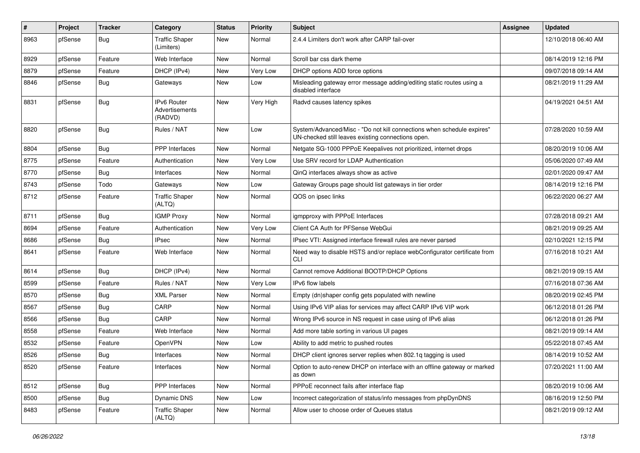| $\#$ | Project | <b>Tracker</b> | Category                                        | <b>Status</b> | Priority  | <b>Subject</b>                                                                                                               | <b>Assignee</b> | <b>Updated</b>      |
|------|---------|----------------|-------------------------------------------------|---------------|-----------|------------------------------------------------------------------------------------------------------------------------------|-----------------|---------------------|
| 8963 | pfSense | <b>Bug</b>     | <b>Traffic Shaper</b><br>(Limiters)             | New           | Normal    | 2.4.4 Limiters don't work after CARP fail-over                                                                               |                 | 12/10/2018 06:40 AM |
| 8929 | pfSense | Feature        | Web Interface                                   | New           | Normal    | Scroll bar css dark theme                                                                                                    |                 | 08/14/2019 12:16 PM |
| 8879 | pfSense | Feature        | DHCP (IPv4)                                     | New           | Very Low  | DHCP options ADD force options                                                                                               |                 | 09/07/2018 09:14 AM |
| 8846 | pfSense | Bug            | Gateways                                        | New           | Low       | Misleading gateway error message adding/editing static routes using a<br>disabled interface                                  |                 | 08/21/2019 11:29 AM |
| 8831 | pfSense | Bug            | <b>IPv6 Router</b><br>Advertisements<br>(RADVD) | New           | Very High | Radvd causes latency spikes                                                                                                  |                 | 04/19/2021 04:51 AM |
| 8820 | pfSense | Bug            | Rules / NAT                                     | New           | Low       | System/Advanced/Misc - "Do not kill connections when schedule expires"<br>UN-checked still leaves existing connections open. |                 | 07/28/2020 10:59 AM |
| 8804 | pfSense | Bug            | <b>PPP</b> Interfaces                           | New           | Normal    | Netgate SG-1000 PPPoE Keepalives not prioritized, internet drops                                                             |                 | 08/20/2019 10:06 AM |
| 8775 | pfSense | Feature        | Authentication                                  | <b>New</b>    | Very Low  | Use SRV record for LDAP Authentication                                                                                       |                 | 05/06/2020 07:49 AM |
| 8770 | pfSense | Bug            | Interfaces                                      | New           | Normal    | QinQ interfaces always show as active                                                                                        |                 | 02/01/2020 09:47 AM |
| 8743 | pfSense | Todo           | Gateways                                        | New           | Low       | Gateway Groups page should list gateways in tier order                                                                       |                 | 08/14/2019 12:16 PM |
| 8712 | pfSense | Feature        | <b>Traffic Shaper</b><br>(ALTQ)                 | New           | Normal    | QOS on ipsec links                                                                                                           |                 | 06/22/2020 06:27 AM |
| 8711 | pfSense | Bug            | <b>IGMP Proxy</b>                               | New           | Normal    | igmpproxy with PPPoE Interfaces                                                                                              |                 | 07/28/2018 09:21 AM |
| 8694 | pfSense | Feature        | Authentication                                  | New           | Very Low  | Client CA Auth for PFSense WebGui                                                                                            |                 | 08/21/2019 09:25 AM |
| 8686 | pfSense | Bug            | <b>IPsec</b>                                    | New           | Normal    | IPsec VTI: Assigned interface firewall rules are never parsed                                                                |                 | 02/10/2021 12:15 PM |
| 8641 | pfSense | Feature        | Web Interface                                   | New           | Normal    | Need way to disable HSTS and/or replace webConfigurator certificate from<br><b>CLI</b>                                       |                 | 07/16/2018 10:21 AM |
| 8614 | pfSense | Bug            | DHCP (IPv4)                                     | <b>New</b>    | Normal    | Cannot remove Additional BOOTP/DHCP Options                                                                                  |                 | 08/21/2019 09:15 AM |
| 8599 | pfSense | Feature        | Rules / NAT                                     | <b>New</b>    | Very Low  | IPv6 flow labels                                                                                                             |                 | 07/16/2018 07:36 AM |
| 8570 | pfSense | Bug            | <b>XML Parser</b>                               | New           | Normal    | Empty (dn)shaper config gets populated with newline                                                                          |                 | 08/20/2019 02:45 PM |
| 8567 | pfSense | Bug            | CARP                                            | New           | Normal    | Using IPv6 VIP alias for services may affect CARP IPv6 VIP work                                                              |                 | 06/12/2018 01:26 PM |
| 8566 | pfSense | Bug            | CARP                                            | New           | Normal    | Wrong IPv6 source in NS request in case using of IPv6 alias                                                                  |                 | 06/12/2018 01:26 PM |
| 8558 | pfSense | Feature        | Web Interface                                   | New           | Normal    | Add more table sorting in various UI pages                                                                                   |                 | 08/21/2019 09:14 AM |
| 8532 | pfSense | Feature        | <b>OpenVPN</b>                                  | New           | Low       | Ability to add metric to pushed routes                                                                                       |                 | 05/22/2018 07:45 AM |
| 8526 | pfSense | <b>Bug</b>     | Interfaces                                      | New           | Normal    | DHCP client ignores server replies when 802.1g tagging is used                                                               |                 | 08/14/2019 10:52 AM |
| 8520 | pfSense | Feature        | Interfaces                                      | New           | Normal    | Option to auto-renew DHCP on interface with an offline gateway or marked<br>as down                                          |                 | 07/20/2021 11:00 AM |
| 8512 | pfSense | <b>Bug</b>     | PPP Interfaces                                  | New           | Normal    | PPPoE reconnect fails after interface flap                                                                                   |                 | 08/20/2019 10:06 AM |
| 8500 | pfSense | <b>Bug</b>     | Dynamic DNS                                     | New           | Low       | Incorrect categorization of status/info messages from phpDynDNS                                                              |                 | 08/16/2019 12:50 PM |
| 8483 | pfSense | Feature        | <b>Traffic Shaper</b><br>(ALTQ)                 | New           | Normal    | Allow user to choose order of Queues status                                                                                  |                 | 08/21/2019 09:12 AM |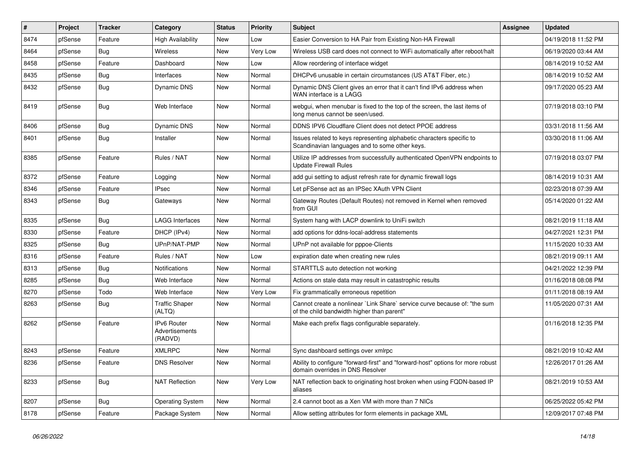| $\sharp$ | Project | <b>Tracker</b> | Category                                 | <b>Status</b> | <b>Priority</b> | Subject                                                                                                                 | <b>Assignee</b> | <b>Updated</b>      |
|----------|---------|----------------|------------------------------------------|---------------|-----------------|-------------------------------------------------------------------------------------------------------------------------|-----------------|---------------------|
| 8474     | pfSense | Feature        | <b>High Availability</b>                 | New           | Low             | Easier Conversion to HA Pair from Existing Non-HA Firewall                                                              |                 | 04/19/2018 11:52 PM |
| 8464     | pfSense | Bug            | <b>Wireless</b>                          | <b>New</b>    | Very Low        | Wireless USB card does not connect to WiFi automatically after reboot/halt                                              |                 | 06/19/2020 03:44 AM |
| 8458     | pfSense | Feature        | Dashboard                                | New           | Low             | Allow reordering of interface widget                                                                                    |                 | 08/14/2019 10:52 AM |
| 8435     | pfSense | <b>Bug</b>     | Interfaces                               | New           | Normal          | DHCPv6 unusable in certain circumstances (US AT&T Fiber, etc.)                                                          |                 | 08/14/2019 10:52 AM |
| 8432     | pfSense | <b>Bug</b>     | <b>Dynamic DNS</b>                       | New           | Normal          | Dynamic DNS Client gives an error that it can't find IPv6 address when<br>WAN interface is a LAGG                       |                 | 09/17/2020 05:23 AM |
| 8419     | pfSense | Bug            | Web Interface                            | New           | Normal          | webgui, when menubar is fixed to the top of the screen, the last items of<br>long menus cannot be seen/used.            |                 | 07/19/2018 03:10 PM |
| 8406     | pfSense | Bug            | <b>Dynamic DNS</b>                       | New           | Normal          | DDNS IPV6 Cloudflare Client does not detect PPOE address                                                                |                 | 03/31/2018 11:56 AM |
| 8401     | pfSense | Bug            | Installer                                | New           | Normal          | Issues related to keys representing alphabetic characters specific to<br>Scandinavian languages and to some other keys. |                 | 03/30/2018 11:06 AM |
| 8385     | pfSense | Feature        | Rules / NAT                              | New           | Normal          | Utilize IP addresses from successfully authenticated OpenVPN endpoints to<br><b>Update Firewall Rules</b>               |                 | 07/19/2018 03:07 PM |
| 8372     | pfSense | Feature        | Logging                                  | New           | Normal          | add gui setting to adjust refresh rate for dynamic firewall logs                                                        |                 | 08/14/2019 10:31 AM |
| 8346     | pfSense | Feature        | <b>IPsec</b>                             | New           | Normal          | Let pFSense act as an IPSec XAuth VPN Client                                                                            |                 | 02/23/2018 07:39 AM |
| 8343     | pfSense | Bug            | Gateways                                 | New           | Normal          | Gateway Routes (Default Routes) not removed in Kernel when removed<br>from GUI                                          |                 | 05/14/2020 01:22 AM |
| 8335     | pfSense | Bug            | LAGG Interfaces                          | New           | Normal          | System hang with LACP downlink to UniFi switch                                                                          |                 | 08/21/2019 11:18 AM |
| 8330     | pfSense | Feature        | DHCP (IPv4)                              | <b>New</b>    | Normal          | add options for ddns-local-address statements                                                                           |                 | 04/27/2021 12:31 PM |
| 8325     | pfSense | Bug            | UPnP/NAT-PMP                             | New           | Normal          | UPnP not available for pppoe-Clients                                                                                    |                 | 11/15/2020 10:33 AM |
| 8316     | pfSense | Feature        | Rules / NAT                              | <b>New</b>    | Low             | expiration date when creating new rules                                                                                 |                 | 08/21/2019 09:11 AM |
| 8313     | pfSense | Bug            | Notifications                            | New           | Normal          | STARTTLS auto detection not working                                                                                     |                 | 04/21/2022 12:39 PM |
| 8285     | pfSense | Bug            | Web Interface                            | New           | Normal          | Actions on stale data may result in catastrophic results                                                                |                 | 01/16/2018 08:08 PM |
| 8270     | pfSense | Todo           | Web Interface                            | <b>New</b>    | Very Low        | Fix grammatically erroneous repetition                                                                                  |                 | 01/11/2018 08:19 AM |
| 8263     | pfSense | <b>Bug</b>     | <b>Traffic Shaper</b><br>(ALTQ)          | New           | Normal          | Cannot create a nonlinear `Link Share` service curve because of: "the sum<br>of the child bandwidth higher than parent" |                 | 11/05/2020 07:31 AM |
| 8262     | pfSense | Feature        | IPv6 Router<br>Advertisements<br>(RADVD) | New           | Normal          | Make each prefix flags configurable separately.                                                                         |                 | 01/16/2018 12:35 PM |
| 8243     | pfSense | Feature        | <b>XMLRPC</b>                            | New           | Normal          | Sync dashboard settings over xmlrpc                                                                                     |                 | 08/21/2019 10:42 AM |
| 8236     | pfSense | Feature        | <b>DNS Resolver</b>                      | New           | Normal          | Ability to configure "forward-first" and "forward-host" options for more robust<br>domain overrides in DNS Resolver     |                 | 12/26/2017 01:26 AM |
| 8233     | pfSense | <b>Bug</b>     | <b>NAT Reflection</b>                    | New           | Very Low        | NAT reflection back to originating host broken when using FQDN-based IP<br>aliases                                      |                 | 08/21/2019 10:53 AM |
| 8207     | pfSense | Bug            | <b>Operating System</b>                  | New           | Normal          | 2.4 cannot boot as a Xen VM with more than 7 NICs                                                                       |                 | 06/25/2022 05:42 PM |
| 8178     | pfSense | Feature        | Package System                           | New           | Normal          | Allow setting attributes for form elements in package XML                                                               |                 | 12/09/2017 07:48 PM |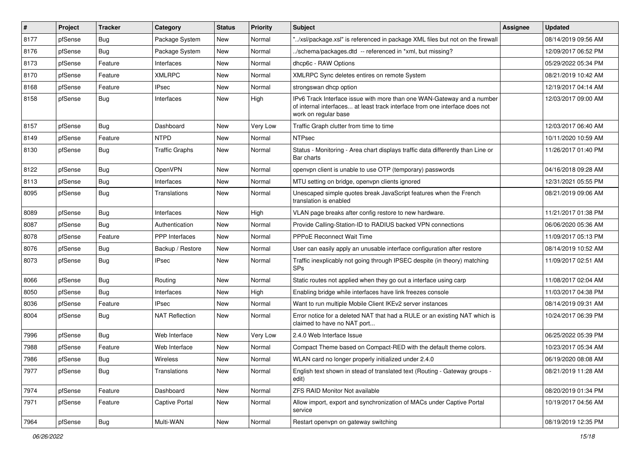| #    | Project | <b>Tracker</b> | Category              | <b>Status</b> | <b>Priority</b> | Subject                                                                                                                                                                       | <b>Assignee</b> | <b>Updated</b>      |
|------|---------|----------------|-----------------------|---------------|-----------------|-------------------------------------------------------------------------------------------------------------------------------------------------------------------------------|-----------------|---------------------|
| 8177 | pfSense | Bug            | Package System        | New           | Normal          | "/xsl/package.xsl" is referenced in package XML files but not on the firewall                                                                                                 |                 | 08/14/2019 09:56 AM |
| 8176 | pfSense | Bug            | Package System        | <b>New</b>    | Normal          | /schema/packages.dtd -- referenced in *xml, but missing?                                                                                                                      |                 | 12/09/2017 06:52 PM |
| 8173 | pfSense | Feature        | Interfaces            | New           | Normal          | dhcp6c - RAW Options                                                                                                                                                          |                 | 05/29/2022 05:34 PM |
| 8170 | pfSense | Feature        | XMLRPC                | New           | Normal          | XMLRPC Sync deletes entires on remote System                                                                                                                                  |                 | 08/21/2019 10:42 AM |
| 8168 | pfSense | Feature        | <b>IPsec</b>          | New           | Normal          | strongswan dhcp option                                                                                                                                                        |                 | 12/19/2017 04:14 AM |
| 8158 | pfSense | Bug            | Interfaces            | New           | High            | IPv6 Track Interface issue with more than one WAN-Gateway and a number<br>of internal interfaces at least track interface from one interface does not<br>work on regular base |                 | 12/03/2017 09:00 AM |
| 8157 | pfSense | Bug            | Dashboard             | New           | Very Low        | Traffic Graph clutter from time to time                                                                                                                                       |                 | 12/03/2017 06:40 AM |
| 8149 | pfSense | Feature        | <b>NTPD</b>           | New           | Normal          | <b>NTPsec</b>                                                                                                                                                                 |                 | 10/11/2020 10:59 AM |
| 8130 | pfSense | Bug            | <b>Traffic Graphs</b> | New           | Normal          | Status - Monitoring - Area chart displays traffic data differently than Line or<br>Bar charts                                                                                 |                 | 11/26/2017 01:40 PM |
| 8122 | pfSense | Bug            | <b>OpenVPN</b>        | <b>New</b>    | Normal          | openvpn client is unable to use OTP (temporary) passwords                                                                                                                     |                 | 04/16/2018 09:28 AM |
| 8113 | pfSense | Bug            | Interfaces            | New           | Normal          | MTU setting on bridge, openypn clients ignored                                                                                                                                |                 | 12/31/2021 05:55 PM |
| 8095 | pfSense | <b>Bug</b>     | Translations          | New           | Normal          | Unescaped simple quotes break JavaScript features when the French<br>translation is enabled                                                                                   |                 | 08/21/2019 09:06 AM |
| 8089 | pfSense | Bug            | Interfaces            | New           | High            | VLAN page breaks after config restore to new hardware.                                                                                                                        |                 | 11/21/2017 01:38 PM |
| 8087 | pfSense | Bug            | Authentication        | New           | Normal          | Provide Calling-Station-ID to RADIUS backed VPN connections                                                                                                                   |                 | 06/06/2020 05:36 AM |
| 8078 | pfSense | Feature        | PPP Interfaces        | <b>New</b>    | Normal          | <b>PPPoE Reconnect Wait Time</b>                                                                                                                                              |                 | 11/09/2017 05:13 PM |
| 8076 | pfSense | Bug            | Backup / Restore      | New           | Normal          | User can easily apply an unusable interface configuration after restore                                                                                                       |                 | 08/14/2019 10:52 AM |
| 8073 | pfSense | <b>Bug</b>     | <b>IPsec</b>          | New           | Normal          | Traffic inexplicably not going through IPSEC despite (in theory) matching<br><b>SPs</b>                                                                                       |                 | 11/09/2017 02:51 AM |
| 8066 | pfSense | Bug            | Routing               | New           | Normal          | Static routes not applied when they go out a interface using carp                                                                                                             |                 | 11/08/2017 02:04 AM |
| 8050 | pfSense | Bug            | Interfaces            | New           | High            | Enabling bridge while interfaces have link freezes console                                                                                                                    |                 | 11/03/2017 04:38 PM |
| 8036 | pfSense | Feature        | <b>IPsec</b>          | New           | Normal          | Want to run multiple Mobile Client IKEv2 server instances                                                                                                                     |                 | 08/14/2019 09:31 AM |
| 8004 | pfSense | Bug            | <b>NAT Reflection</b> | New           | Normal          | Error notice for a deleted NAT that had a RULE or an existing NAT which is<br>claimed to have no NAT port                                                                     |                 | 10/24/2017 06:39 PM |
| 7996 | pfSense | Bug            | Web Interface         | New           | Very Low        | 2.4.0 Web Interface Issue                                                                                                                                                     |                 | 06/25/2022 05:39 PM |
| 7988 | pfSense | Feature        | Web Interface         | <b>New</b>    | Normal          | Compact Theme based on Compact-RED with the default theme colors.                                                                                                             |                 | 10/23/2017 05:34 AM |
| 7986 | pfSense | Bug            | Wireless              | New           | Normal          | WLAN card no longer properly initialized under 2.4.0                                                                                                                          |                 | 06/19/2020 08:08 AM |
| 7977 | pfSense | Bug            | Translations          | New           | Normal          | English text shown in stead of translated text (Routing - Gateway groups -<br>edit)                                                                                           |                 | 08/21/2019 11:28 AM |
| 7974 | pfSense | Feature        | Dashboard             | New           | Normal          | <b>ZFS RAID Monitor Not available</b>                                                                                                                                         |                 | 08/20/2019 01:34 PM |
| 7971 | pfSense | Feature        | Captive Portal        | New           | Normal          | Allow import, export and synchronization of MACs under Captive Portal<br>service                                                                                              |                 | 10/19/2017 04:56 AM |
| 7964 | pfSense | Bug            | Multi-WAN             | New           | Normal          | Restart openvpn on gateway switching                                                                                                                                          |                 | 08/19/2019 12:35 PM |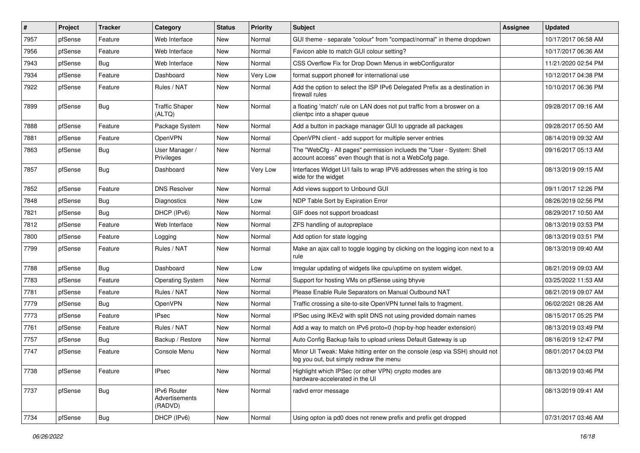| $\pmb{\sharp}$ | Project | <b>Tracker</b> | Category                                        | <b>Status</b> | <b>Priority</b> | Subject                                                                                                                           | <b>Assignee</b> | <b>Updated</b>      |
|----------------|---------|----------------|-------------------------------------------------|---------------|-----------------|-----------------------------------------------------------------------------------------------------------------------------------|-----------------|---------------------|
| 7957           | pfSense | Feature        | Web Interface                                   | New           | Normal          | GUI theme - separate "colour" from "compact/normal" in theme dropdown                                                             |                 | 10/17/2017 06:58 AM |
| 7956           | pfSense | Feature        | Web Interface                                   | <b>New</b>    | Normal          | Favicon able to match GUI colour setting?                                                                                         |                 | 10/17/2017 06:36 AM |
| 7943           | pfSense | Bug            | Web Interface                                   | New           | Normal          | CSS Overflow Fix for Drop Down Menus in webConfigurator                                                                           |                 | 11/21/2020 02:54 PM |
| 7934           | pfSense | Feature        | Dashboard                                       | New           | <b>Very Low</b> | format support phone# for international use                                                                                       |                 | 10/12/2017 04:38 PM |
| 7922           | pfSense | Feature        | Rules / NAT                                     | <b>New</b>    | Normal          | Add the option to select the ISP IPv6 Delegated Prefix as a destination in<br>firewall rules                                      |                 | 10/10/2017 06:36 PM |
| 7899           | pfSense | Bug            | <b>Traffic Shaper</b><br>(ALTQ)                 | New           | Normal          | a floating 'match' rule on LAN does not put traffic from a broswer on a<br>clientpc into a shaper queue                           |                 | 09/28/2017 09:16 AM |
| 7888           | pfSense | Feature        | Package System                                  | New           | Normal          | Add a button in package manager GUI to upgrade all packages                                                                       |                 | 09/28/2017 05:50 AM |
| 7881           | pfSense | Feature        | <b>OpenVPN</b>                                  | <b>New</b>    | Normal          | OpenVPN client - add support for multiple server entries                                                                          |                 | 08/14/2019 09:32 AM |
| 7863           | pfSense | Bug            | User Manager /<br>Privileges                    | New           | Normal          | The "WebCfg - All pages" permission inclueds the "User - System: Shell<br>account access" even though that is not a WebCofg page. |                 | 09/16/2017 05:13 AM |
| 7857           | pfSense | Bug            | Dashboard                                       | New           | <b>Very Low</b> | Interfaces Widget U/I fails to wrap IPV6 addresses when the string is too<br>wide for the widget                                  |                 | 08/13/2019 09:15 AM |
| 7852           | pfSense | Feature        | <b>DNS Resolver</b>                             | <b>New</b>    | Normal          | Add views support to Unbound GUI                                                                                                  |                 | 09/11/2017 12:26 PM |
| 7848           | pfSense | <b>Bug</b>     | Diagnostics                                     | <b>New</b>    | Low             | NDP Table Sort by Expiration Error                                                                                                |                 | 08/26/2019 02:56 PM |
| 7821           | pfSense | <b>Bug</b>     | DHCP (IPv6)                                     | New           | Normal          | GIF does not support broadcast                                                                                                    |                 | 08/29/2017 10:50 AM |
| 7812           | pfSense | Feature        | Web Interface                                   | New           | Normal          | ZFS handling of autopreplace                                                                                                      |                 | 08/13/2019 03:53 PM |
| 7800           | pfSense | Feature        | Logging                                         | New           | Normal          | Add option for state logging                                                                                                      |                 | 08/13/2019 03:51 PM |
| 7799           | pfSense | Feature        | Rules / NAT                                     | New           | Normal          | Make an ajax call to toggle logging by clicking on the logging icon next to a<br>rule                                             |                 | 08/13/2019 09:40 AM |
| 7788           | pfSense | Bug            | Dashboard                                       | New           | Low             | Irregular updating of widgets like cpu/uptime on system widget.                                                                   |                 | 08/21/2019 09:03 AM |
| 7783           | pfSense | Feature        | <b>Operating System</b>                         | New           | Normal          | Support for hosting VMs on pfSense using bhyve                                                                                    |                 | 03/25/2022 11:53 AM |
| 7781           | pfSense | Feature        | Rules / NAT                                     | New           | Normal          | Please Enable Rule Separators on Manual Outbound NAT                                                                              |                 | 08/21/2019 09:07 AM |
| 7779           | pfSense | <b>Bug</b>     | OpenVPN                                         | New           | Normal          | Traffic crossing a site-to-site OpenVPN tunnel fails to fragment.                                                                 |                 | 06/02/2021 08:26 AM |
| 7773           | pfSense | Feature        | IPsec                                           | New           | Normal          | IPSec using IKEv2 with split DNS not using provided domain names                                                                  |                 | 08/15/2017 05:25 PM |
| 7761           | pfSense | Feature        | Rules / NAT                                     | New           | Normal          | Add a way to match on IPv6 proto=0 (hop-by-hop header extension)                                                                  |                 | 08/13/2019 03:49 PM |
| 7757           | pfSense | <b>Bug</b>     | Backup / Restore                                | New           | Normal          | Auto Config Backup fails to upload unless Default Gateway is up                                                                   |                 | 08/16/2019 12:47 PM |
| 7747           | pfSense | Feature        | Console Menu                                    | New           | Normal          | Minor UI Tweak: Make hitting enter on the console (esp via SSH) should not<br>log you out, but simply redraw the menu             |                 | 08/01/2017 04:03 PM |
| 7738           | pfSense | Feature        | <b>IPsec</b>                                    | New           | Normal          | Highlight which IPSec (or other VPN) crypto modes are<br>hardware-accelerated in the UI                                           |                 | 08/13/2019 03:46 PM |
| 7737           | pfSense | Bug            | <b>IPv6 Router</b><br>Advertisements<br>(RADVD) | New           | Normal          | radvd error message                                                                                                               |                 | 08/13/2019 09:41 AM |
| 7734           | pfSense | Bug            | DHCP (IPv6)                                     | New           | Normal          | Using opton ia pd0 does not renew prefix and prefix get dropped                                                                   |                 | 07/31/2017 03:46 AM |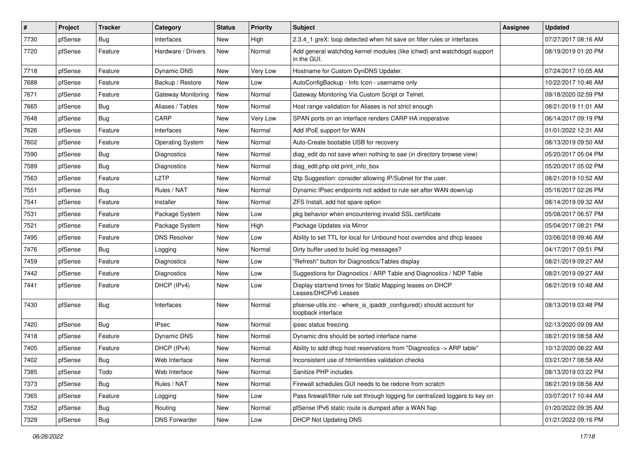| #    | Project | <b>Tracker</b> | Category                | <b>Status</b> | <b>Priority</b> | Subject                                                                                   | <b>Assignee</b> | <b>Updated</b>      |
|------|---------|----------------|-------------------------|---------------|-----------------|-------------------------------------------------------------------------------------------|-----------------|---------------------|
| 7730 | pfSense | <b>Bug</b>     | Interfaces              | New           | High            | 2.3.4 1 greX: loop detected when hit save on filter rules or interfaces                   |                 | 07/27/2017 08:16 AM |
| 7720 | pfSense | Feature        | Hardware / Drivers      | New           | Normal          | Add general watchdog kernel modules (like ichwd) and watchdogd support<br>in the GUI.     |                 | 08/19/2019 01:20 PM |
| 7718 | pfSense | Feature        | Dynamic DNS             | New           | <b>Very Low</b> | Hostname for Custom DynDNS Updater.                                                       |                 | 07/24/2017 10:05 AM |
| 7688 | pfSense | Feature        | Backup / Restore        | New           | Low             | AutoConfigBackup - Info Icon - username only                                              |                 | 10/22/2017 10:46 AM |
| 7671 | pfSense | Feature        | Gateway Monitoring      | New           | Normal          | Gateway Monitoring Via Custom Script or Telnet.                                           |                 | 09/18/2020 02:59 PM |
| 7665 | pfSense | <b>Bug</b>     | Aliases / Tables        | New           | Normal          | Host range validation for Aliases is not strict enough                                    |                 | 08/21/2019 11:01 AM |
| 7648 | pfSense | <b>Bug</b>     | CARP                    | <b>New</b>    | <b>Very Low</b> | SPAN ports on an interface renders CARP HA inoperative                                    |                 | 06/14/2017 09:19 PM |
| 7626 | pfSense | Feature        | Interfaces              | New           | Normal          | Add IPoE support for WAN                                                                  |                 | 01/01/2022 12:31 AM |
| 7602 | pfSense | Feature        | <b>Operating System</b> | <b>New</b>    | Normal          | Auto-Create bootable USB for recovery                                                     |                 | 08/13/2019 09:50 AM |
| 7590 | pfSense | <b>Bug</b>     | Diagnostics             | New           | Normal          | diag edit do not save when nothing to sae (in directory browse view)                      |                 | 05/20/2017 05:04 PM |
| 7589 | pfSense | <b>Bug</b>     | Diagnostics             | New           | Normal          | diag_edit.php old print_info_box                                                          |                 | 05/20/2017 05:02 PM |
| 7563 | pfSense | Feature        | L2TP                    | New           | Normal          | I2tp Suggestion: consider allowing IP/Subnet for the user.                                |                 | 08/21/2019 10:52 AM |
| 7551 | pfSense | <b>Bug</b>     | Rules / NAT             | New           | Normal          | Dynamic IPsec endpoints not added to rule set after WAN down/up                           |                 | 05/16/2017 02:26 PM |
| 7541 | pfSense | Feature        | Installer               | New           | Normal          | ZFS Install, add hot spare option                                                         |                 | 08/14/2019 09:32 AM |
| 7531 | pfSense | Feature        | Package System          | New           | Low             | pkg behavior when encountering invalid SSL certificate                                    |                 | 05/08/2017 06:57 PM |
| 7521 | pfSense | Feature        | Package System          | New           | High            | Package Updates via Mirror                                                                |                 | 05/04/2017 08:21 PM |
| 7495 | pfSense | Feature        | <b>DNS Resolver</b>     | New           | Low             | Ability to set TTL for local for Unbound host overrides and dhcp leases                   |                 | 03/06/2018 09:46 AM |
| 7476 | pfSense | Bug            | Logging                 | New           | Normal          | Dirty buffer used to build log messages?                                                  |                 | 04/17/2017 09:51 PM |
| 7459 | pfSense | Feature        | Diagnostics             | New           | Low             | "Refresh" button for Diagnostics/Tables display                                           |                 | 08/21/2019 09:27 AM |
| 7442 | pfSense | Feature        | Diagnostics             | New           | Low             | Suggestions for Diagnostics / ARP Table and Diagnostics / NDP Table                       |                 | 08/21/2019 09:27 AM |
| 7441 | pfSense | Feature        | DHCP (IPv4)             | New           | Low             | Display start/end times for Static Mapping leases on DHCP<br>Leases/DHCPv6 Leases         |                 | 08/21/2019 10:48 AM |
| 7430 | pfSense | Bug            | Interfaces              | New           | Normal          | pfsense-utils.inc - where_is_ipaddr_configured() should account for<br>loopback interface |                 | 08/13/2019 03:48 PM |
| 7420 | pfSense | Bug            | <b>IPsec</b>            | New           | Normal          | ipsec status freezing                                                                     |                 | 02/13/2020 09:09 AM |
| 7418 | pfSense | Feature        | Dynamic DNS             | New           | Normal          | Dynamic dns should be sorted interface name                                               |                 | 08/21/2019 08:58 AM |
| 7405 | pfSense | Feature        | DHCP (IPv4)             | New           | Normal          | Ability to add dhcp host reservations from "Diagnostics -> ARP table"                     |                 | 10/12/2020 08:22 AM |
| 7402 | pfSense | Bug            | Web Interface           | New           | Normal          | Inconsistent use of htmlentities validation checks                                        |                 | 03/21/2017 08:58 AM |
| 7385 | pfSense | Todo           | Web Interface           | New           | Normal          | Sanitize PHP includes                                                                     |                 | 08/13/2019 03:22 PM |
| 7373 | pfSense | Bug            | Rules / NAT             | New           | Normal          | Firewall schedules GUI needs to be redone from scratch                                    |                 | 08/21/2019 08:56 AM |
| 7365 | pfSense | Feature        | Logging                 | New           | Low             | Pass firewall/filter rule set through logging for centralized loggers to key on           |                 | 03/07/2017 10:44 AM |
| 7352 | pfSense | Bug            | Routing                 | New           | Normal          | pfSense IPv6 static route is dumped after a WAN flap                                      |                 | 01/20/2022 09:35 AM |
| 7329 | pfSense | Bug            | <b>DNS Forwarder</b>    | New           | Low             | <b>DHCP Not Updating DNS</b>                                                              |                 | 01/21/2022 09:16 PM |